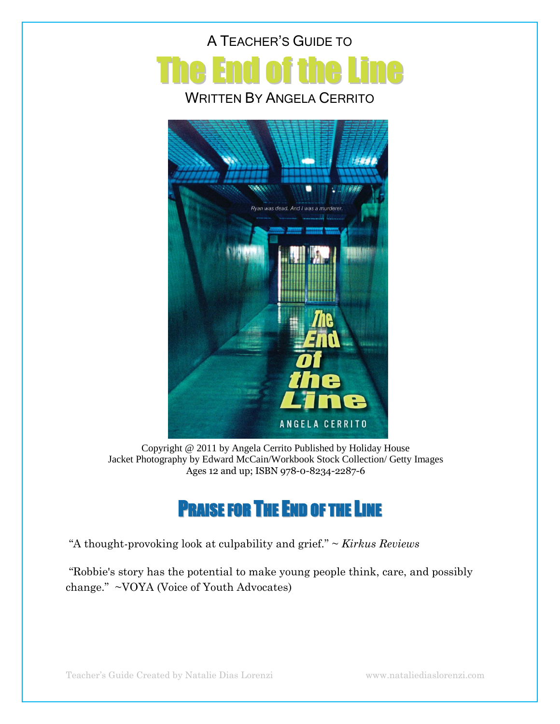



Copyright @ 2011 by Angela Cerrito Published by Holiday House Jacket Photography by Edward McCain/Workbook Stock Collection/ Getty Images Ages 12 and up; ISBN 978-0-8234-2287-6

# PRAISE FOR THE END OF THE LINE

―A thought-provoking look at culpability and grief.‖ ~ *Kirkus Reviews*

―Robbie's story has the potential to make young people think, care, and possibly change." ~VOYA (Voice of Youth Advocates)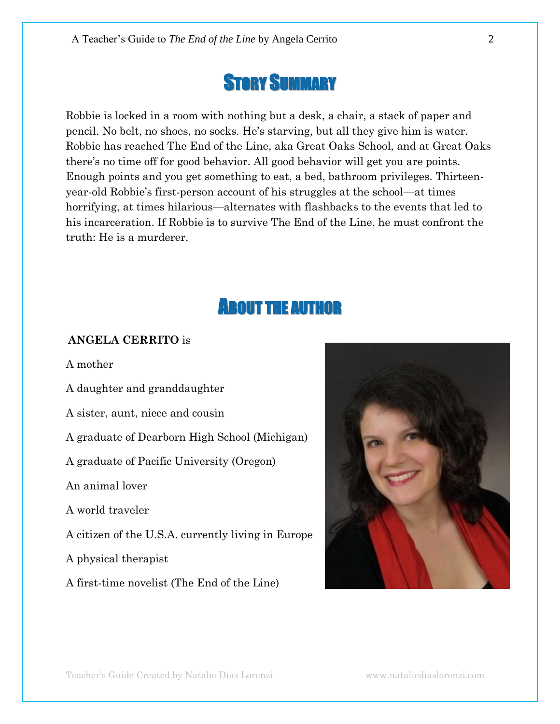# STORY SUMMARY

Robbie is locked in a room with nothing but a desk, a chair, a stack of paper and pencil. No belt, no shoes, no socks. He's starving, but all they give him is water. Robbie has reached The End of the Line, aka Great Oaks School, and at Great Oaks there's no time off for good behavior. All good behavior will get you are points. Enough points and you get something to eat, a bed, bathroom privileges. Thirteenyear-old Robbie's first-person account of his struggles at the school—at times horrifying, at times hilarious—alternates with flashbacks to the events that led to his incarceration. If Robbie is to survive The End of the Line, he must confront the truth: He is a murderer.

# ABOUT THE AUTHOR

#### **ANGELA CERRITO** is

A mother

A daughter and granddaughter A sister, aunt, niece and cousin A graduate of Dearborn High School (Michigan) A graduate of Pacific University (Oregon) An animal lover A world traveler A citizen of the U.S.A. currently living in Europe A physical therapist A first-time novelist (The End of the Line)

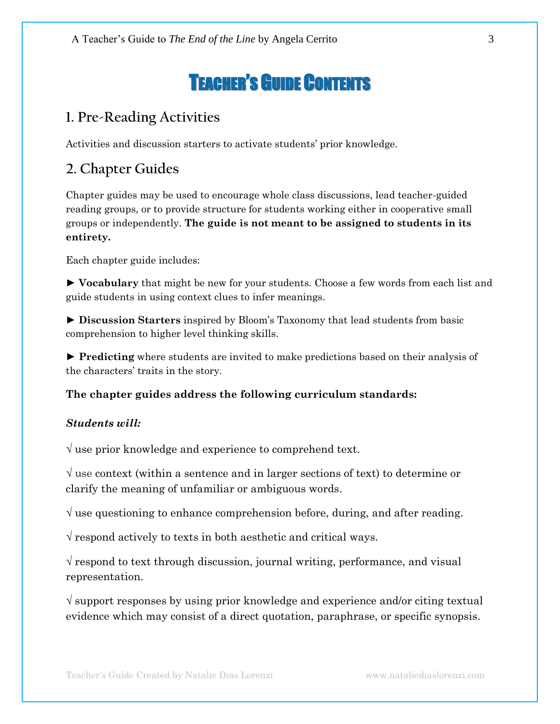# TEACHER'S GUIDE CONTENTS

## **1. Pre-Reading Activities**

Activities and discussion starters to activate students' prior knowledge.

# **2. Chapter Guides**

Chapter guides may be used to encourage whole class discussions, lead teacher-guided reading groups, or to provide structure for students working either in cooperative small groups or independently. **The guide is not meant to be assigned to students in its entirety.**

Each chapter guide includes:

► **Vocabulary** that might be new for your students. Choose a few words from each list and guide students in using context clues to infer meanings.

► **Discussion Starters** inspired by Bloom's Taxonomy that lead students from basic comprehension to higher level thinking skills.

► **Predicting** where students are invited to make predictions based on their analysis of the characters' traits in the story.

#### **The chapter guides address the following curriculum standards:**

#### *Students will:*

 $\sqrt{ }$  use prior knowledge and experience to comprehend text.

 $\sqrt{ }$  use context (within a sentence and in larger sections of text) to determine or clarify the meaning of unfamiliar or ambiguous words.

 $\sqrt{ }$  use questioning to enhance comprehension before, during, and after reading.

 $\sqrt{\ }$  respond actively to texts in both aesthetic and critical ways.

 $\sqrt{\ }$  respond to text through discussion, journal writing, performance, and visual representation.

 $\sqrt{2}$  support responses by using prior knowledge and experience and/or citing textual evidence which may consist of a direct quotation, paraphrase, or specific synopsis.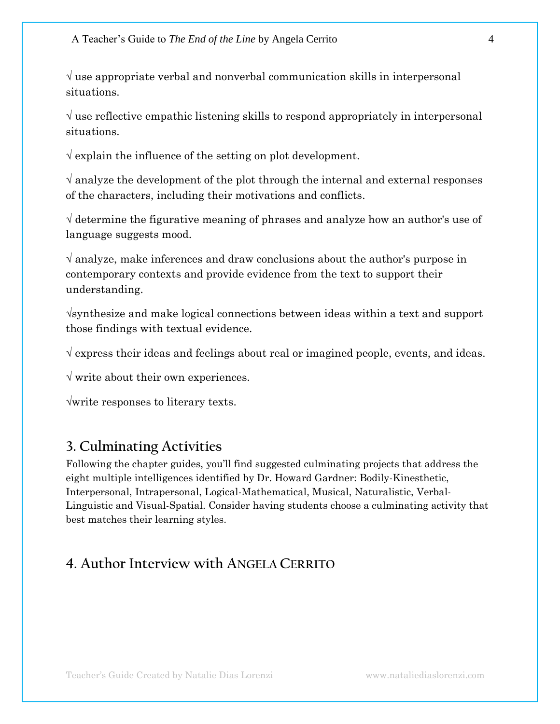$\sqrt{a}$  use appropriate verbal and nonverbal communication skills in interpersonal situations.

 $\sqrt{a}$  use reflective empathic listening skills to respond appropriately in interpersonal situations.

 $\sqrt{\frac{1}{\epsilon}}$  explain the influence of the setting on plot development.

 $\sqrt{ }$  analyze the development of the plot through the internal and external responses of the characters, including their motivations and conflicts.

√ determine the figurative meaning of phrases and analyze how an author's use of language suggests mood.

 $\sqrt{ }$  analyze, make inferences and draw conclusions about the author's purpose in contemporary contexts and provide evidence from the text to support their understanding.

√synthesize and make logical connections between ideas within a text and support those findings with textual evidence.

√ express their ideas and feelings about real or imagined people, events, and ideas.

 $\sqrt{x}$  write about their own experiences.

√write responses to literary texts.

#### **3. Culminating Activities**

Following the chapter guides, you'll find suggested culminating projects that address the eight multiple intelligences identified by Dr. Howard Gardner: Bodily-Kinesthetic, Interpersonal, Intrapersonal, Logical-Mathematical, Musical, Naturalistic, Verbal-Linguistic and Visual-Spatial. Consider having students choose a culminating activity that best matches their learning styles.

#### **4. Author Interview with ANGELA CERRITO**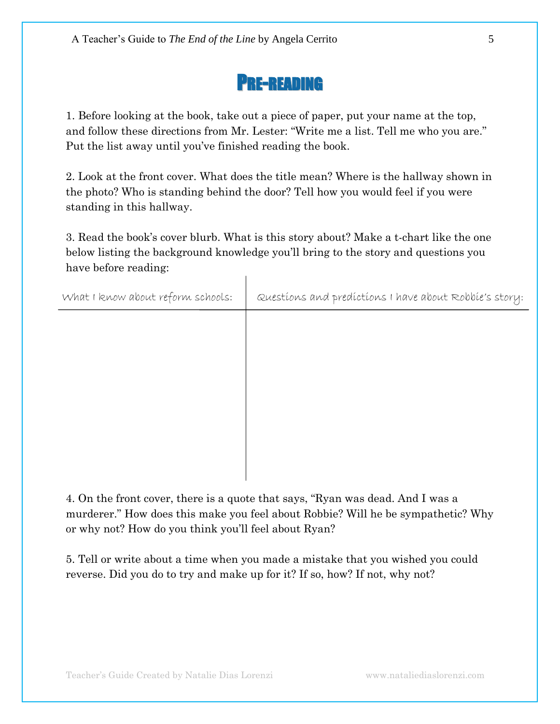

1. Before looking at the book, take out a piece of paper, put your name at the top, and follow these directions from Mr. Lester: "Write me a list. Tell me who you are." Put the list away until you've finished reading the book.

2. Look at the front cover. What does the title mean? Where is the hallway shown in the photo? Who is standing behind the door? Tell how you would feel if you were standing in this hallway.

3. Read the book's cover blurb. What is this story about? Make a t-chart like the one below listing the background knowledge you'll bring to the story and questions you have before reading:

 $\mathbf{I}$ 

| What I know about reform schools: | Questions and predictions I have about Robbie's story: |
|-----------------------------------|--------------------------------------------------------|
|                                   |                                                        |
|                                   |                                                        |
|                                   |                                                        |
|                                   |                                                        |
|                                   |                                                        |
|                                   |                                                        |
|                                   |                                                        |

4. On the front cover, there is a quote that says, "Ryan was dead. And I was a murderer." How does this make you feel about Robbie? Will he be sympathetic? Why or why not? How do you think you'll feel about Ryan?

5. Tell or write about a time when you made a mistake that you wished you could reverse. Did you do to try and make up for it? If so, how? If not, why not?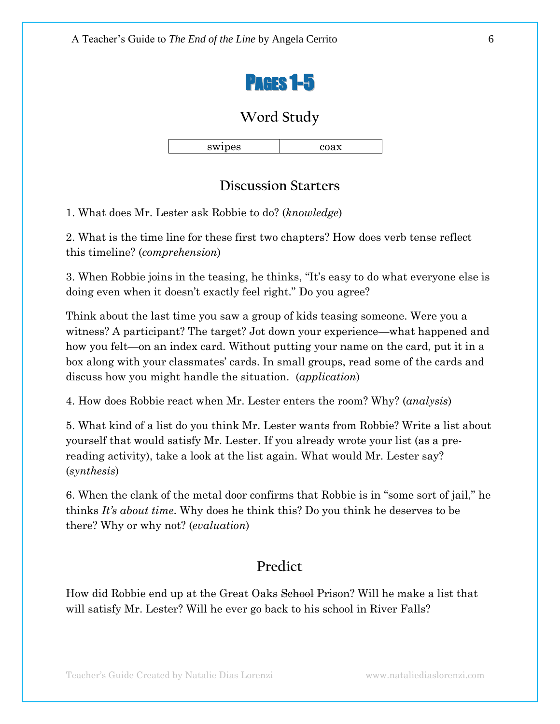

|--|--|

#### **Discussion Starters**

1. What does Mr. Lester ask Robbie to do? (*knowledge*)

2. What is the time line for these first two chapters? How does verb tense reflect this timeline? (*comprehension*)

3. When Robbie joins in the teasing, he thinks, "It's easy to do what everyone else is doing even when it doesn't exactly feel right." Do you agree?

Think about the last time you saw a group of kids teasing someone. Were you a witness? A participant? The target? Jot down your experience—what happened and how you felt—on an index card. Without putting your name on the card, put it in a box along with your classmates' cards. In small groups, read some of the cards and discuss how you might handle the situation. (*application*)

4. How does Robbie react when Mr. Lester enters the room? Why? (*analysis*)

5. What kind of a list do you think Mr. Lester wants from Robbie? Write a list about yourself that would satisfy Mr. Lester. If you already wrote your list (as a prereading activity), take a look at the list again. What would Mr. Lester say? (*synthesis*)

6. When the clank of the metal door confirms that Robbie is in "some sort of jail," he thinks *It's about time*. Why does he think this? Do you think he deserves to be there? Why or why not? (*evaluation*)

## **Predict**

How did Robbie end up at the Great Oaks Sehool Prison? Will he make a list that will satisfy Mr. Lester? Will he ever go back to his school in River Falls?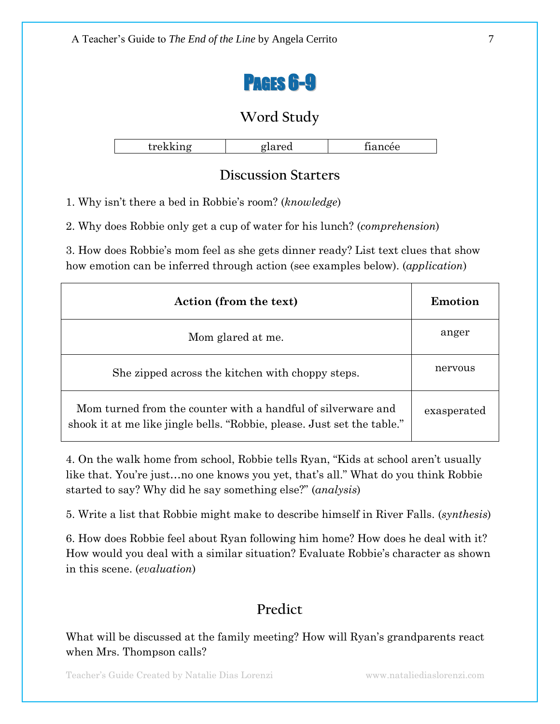

| .<br>--<br>____ |
|-----------------|
|-----------------|

### **Discussion Starters**

1. Why isn't there a bed in Robbie's room? (*knowledge*)

2. Why does Robbie only get a cup of water for his lunch? (*comprehension*)

3. How does Robbie's mom feel as she gets dinner ready? List text clues that show how emotion can be inferred through action (see examples below). (*application*)

| Action (from the text)                                                                                                                  | Emotion     |
|-----------------------------------------------------------------------------------------------------------------------------------------|-------------|
| Mom glared at me.                                                                                                                       | anger       |
| She zipped across the kitchen with choppy steps.                                                                                        | nervous     |
| Mom turned from the counter with a handful of silverware and<br>shook it at me like jingle bells. "Robbie, please. Just set the table." | exasperated |

4. On the walk home from school, Robbie tells Ryan, "Kids at school aren't usually like that. You're just...no one knows you yet, that's all." What do you think Robbie started to say? Why did he say something else?" *(analysis)* 

5. Write a list that Robbie might make to describe himself in River Falls. (*synthesis*)

6. How does Robbie feel about Ryan following him home? How does he deal with it? How would you deal with a similar situation? Evaluate Robbie's character as shown in this scene. (*evaluation*)

## **Predict**

What will be discussed at the family meeting? How will Ryan's grandparents react when Mrs. Thompson calls?

Teacher's Guide Created by Natalie Dias Lorenzi www.nataliediaslorenzi.com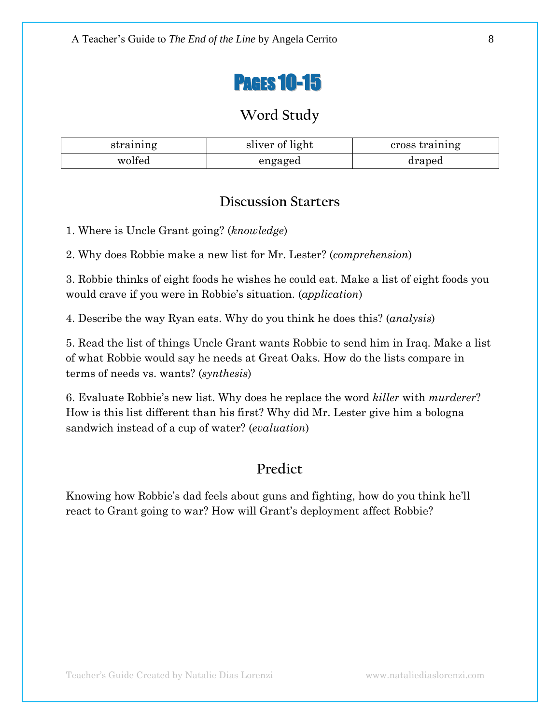

| straining | sliver of light | cross training |
|-----------|-----------------|----------------|
| wolfed    | engaged         | draped         |

#### **Discussion Starters**

1. Where is Uncle Grant going? (*knowledge*)

2. Why does Robbie make a new list for Mr. Lester? (*comprehension*)

3. Robbie thinks of eight foods he wishes he could eat. Make a list of eight foods you would crave if you were in Robbie's situation. (*application*)

4. Describe the way Ryan eats. Why do you think he does this? (*analysis*)

5. Read the list of things Uncle Grant wants Robbie to send him in Iraq. Make a list of what Robbie would say he needs at Great Oaks. How do the lists compare in terms of needs vs. wants? (*synthesis*)

6. Evaluate Robbie's new list. Why does he replace the word *killer* with *murderer*? How is this list different than his first? Why did Mr. Lester give him a bologna sandwich instead of a cup of water? (*evaluation*)

## **Predict**

Knowing how Robbie's dad feels about guns and fighting, how do you think he'll react to Grant going to war? How will Grant's deployment affect Robbie?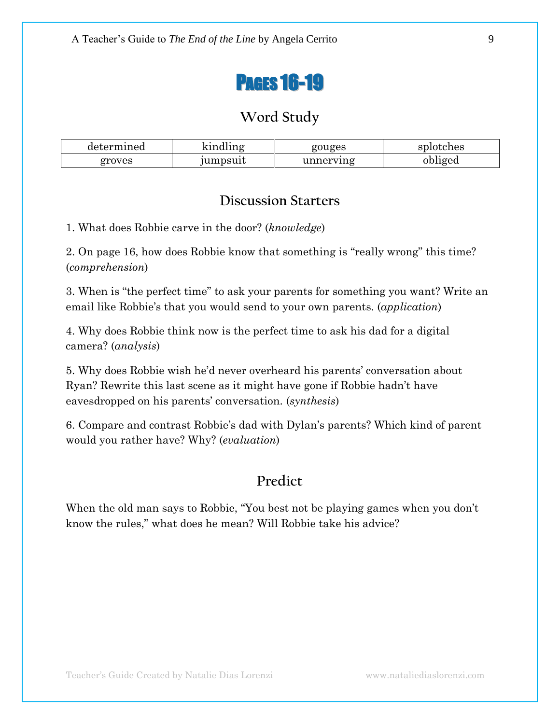

| determined | 1733A<br>$\ln n \sigma$ | gouges    | splotches |
|------------|-------------------------|-----------|-----------|
| groves     | jumpsuit                | unnerving | obliged   |

#### **Discussion Starters**

1. What does Robbie carve in the door? (*knowledge*)

2. On page 16, how does Robbie know that something is "really wrong" this time? (*comprehension*)

3. When is "the perfect time" to ask your parents for something you want? Write an email like Robbie's that you would send to your own parents. (*application*)

4. Why does Robbie think now is the perfect time to ask his dad for a digital camera? (*analysis*)

5. Why does Robbie wish he'd never overheard his parents' conversation about Ryan? Rewrite this last scene as it might have gone if Robbie hadn't have eavesdropped on his parents' conversation. (*synthesis*)

6. Compare and contrast Robbie's dad with Dylan's parents? Which kind of parent would you rather have? Why? (*evaluation*)

## **Predict**

When the old man says to Robbie, "You best not be playing games when you don't know the rules," what does he mean? Will Robbie take his advice?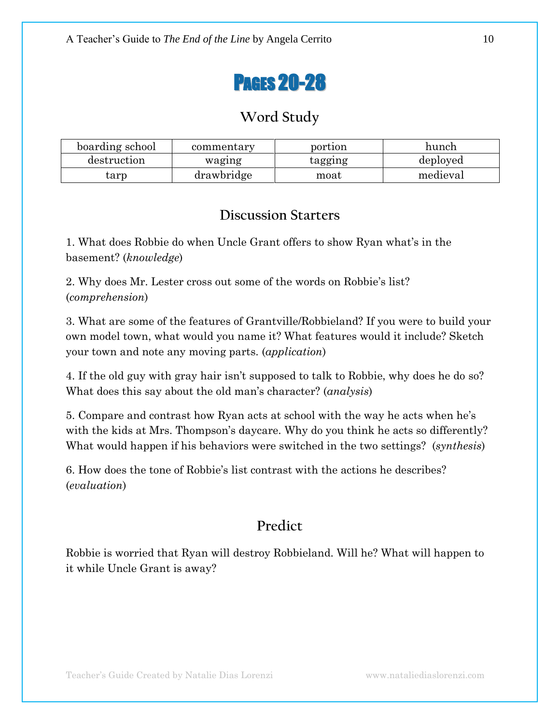

| boarding school | commentary | portion | hunch    |
|-----------------|------------|---------|----------|
| destruction     | waging     | tagging | deployed |
| tarp            | drawbridge | moat    | medieval |

#### **Discussion Starters**

1. What does Robbie do when Uncle Grant offers to show Ryan what's in the basement? (*knowledge*)

2. Why does Mr. Lester cross out some of the words on Robbie's list? (*comprehension*)

3. What are some of the features of Grantville/Robbieland? If you were to build your own model town, what would you name it? What features would it include? Sketch your town and note any moving parts. (*application*)

4. If the old guy with gray hair isn't supposed to talk to Robbie, why does he do so? What does this say about the old man's character? (*analysis*)

5. Compare and contrast how Ryan acts at school with the way he acts when he's with the kids at Mrs. Thompson's daycare. Why do you think he acts so differently? What would happen if his behaviors were switched in the two settings? (*synthesis*)

6. How does the tone of Robbie's list contrast with the actions he describes? (*evaluation*)

## **Predict**

Robbie is worried that Ryan will destroy Robbieland. Will he? What will happen to it while Uncle Grant is away?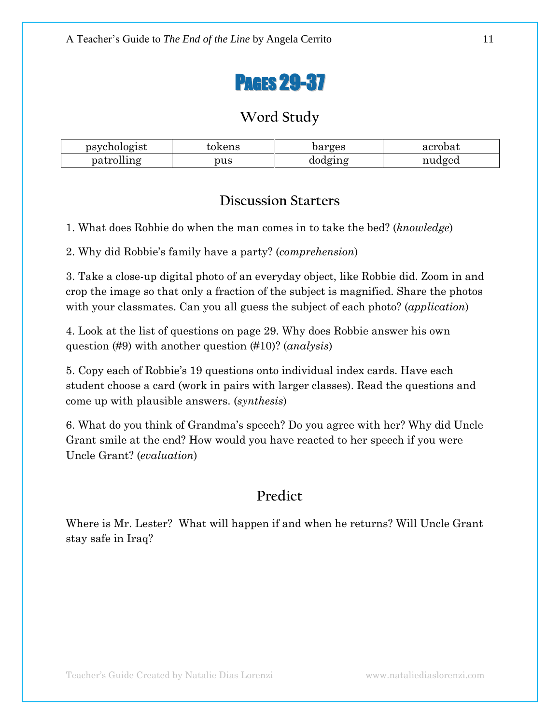

| psychologist | tokens | barges  | acrobat |
|--------------|--------|---------|---------|
| patrolling   | pus    | dodging | nudged  |

#### **Discussion Starters**

1. What does Robbie do when the man comes in to take the bed? (*knowledge*)

2. Why did Robbie's family have a party? (*comprehension*)

3. Take a close-up digital photo of an everyday object, like Robbie did. Zoom in and crop the image so that only a fraction of the subject is magnified. Share the photos with your classmates. Can you all guess the subject of each photo? (*application*)

4. Look at the list of questions on page 29. Why does Robbie answer his own question (#9) with another question (#10)? (*analysis*)

5. Copy each of Robbie's 19 questions onto individual index cards. Have each student choose a card (work in pairs with larger classes). Read the questions and come up with plausible answers. (*synthesis*)

6. What do you think of Grandma's speech? Do you agree with her? Why did Uncle Grant smile at the end? How would you have reacted to her speech if you were Uncle Grant? (*evaluation*)

## **Predict**

Where is Mr. Lester? What will happen if and when he returns? Will Uncle Grant stay safe in Iraq?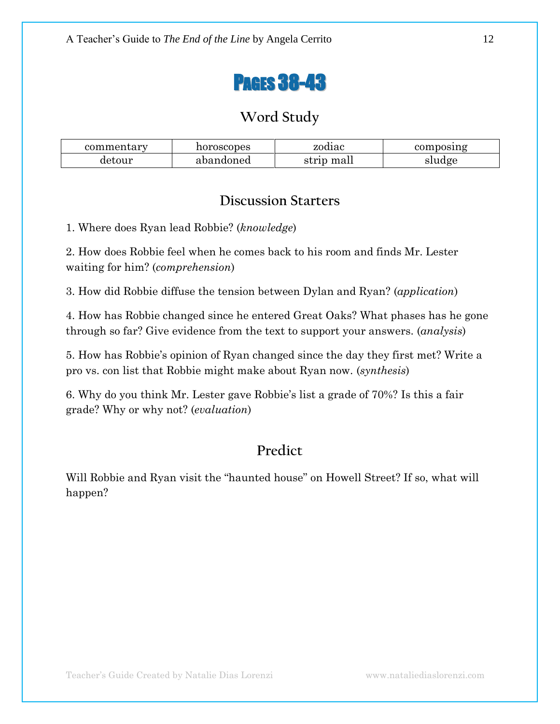

| commentary | horoscopes | zodiac     | composing |
|------------|------------|------------|-----------|
| detour     | abandoned  | strip mall | sludge    |

#### **Discussion Starters**

1. Where does Ryan lead Robbie? (*knowledge*)

2. How does Robbie feel when he comes back to his room and finds Mr. Lester waiting for him? (*comprehension*)

3. How did Robbie diffuse the tension between Dylan and Ryan? (*application*)

4. How has Robbie changed since he entered Great Oaks? What phases has he gone through so far? Give evidence from the text to support your answers. (*analysis*)

5. How has Robbie's opinion of Ryan changed since the day they first met? Write a pro vs. con list that Robbie might make about Ryan now. (*synthesis*)

6. Why do you think Mr. Lester gave Robbie's list a grade of 70%? Is this a fair grade? Why or why not? (*evaluation*)

# **Predict**

Will Robbie and Ryan visit the "haunted house" on Howell Street? If so, what will happen?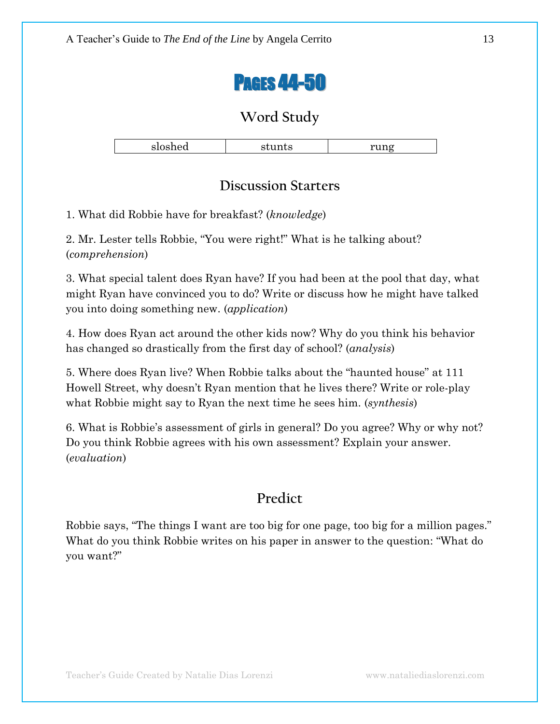

|               |     | --- --          |
|---------------|-----|-----------------|
| $\sim$ $\sim$ | . . | ---<br><u>_</u> |
|               |     |                 |

### **Discussion Starters**

1. What did Robbie have for breakfast? (*knowledge*)

2. Mr. Lester tells Robbie, "You were right!" What is he talking about? (*comprehension*)

3. What special talent does Ryan have? If you had been at the pool that day, what might Ryan have convinced you to do? Write or discuss how he might have talked you into doing something new. (*application*)

4. How does Ryan act around the other kids now? Why do you think his behavior has changed so drastically from the first day of school? (*analysis*)

5. Where does Ryan live? When Robbie talks about the "haunted house" at 111 Howell Street, why doesn't Ryan mention that he lives there? Write or role-play what Robbie might say to Ryan the next time he sees him. (*synthesis*)

6. What is Robbie's assessment of girls in general? Do you agree? Why or why not? Do you think Robbie agrees with his own assessment? Explain your answer. (*evaluation*)

## **Predict**

Robbie says, "The things I want are too big for one page, too big for a million pages." What do you think Robbie writes on his paper in answer to the question: "What do you want?"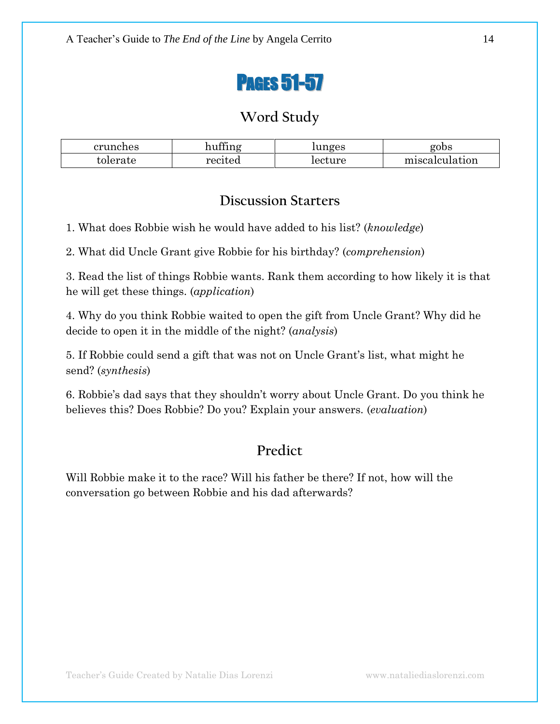

| crunches | $\theta$<br>$\mathbf{r}$ | unges   | gobs               |
|----------|--------------------------|---------|--------------------|
| tolerate | recited                  | recture | miscalcu<br>uation |

#### **Discussion Starters**

1. What does Robbie wish he would have added to his list? (*knowledge*)

2. What did Uncle Grant give Robbie for his birthday? (*comprehension*)

3. Read the list of things Robbie wants. Rank them according to how likely it is that he will get these things. (*application*)

4. Why do you think Robbie waited to open the gift from Uncle Grant? Why did he decide to open it in the middle of the night? (*analysis*)

5. If Robbie could send a gift that was not on Uncle Grant's list, what might he send? (*synthesis*)

6. Robbie's dad says that they shouldn't worry about Uncle Grant. Do you think he believes this? Does Robbie? Do you? Explain your answers. (*evaluation*)

## **Predict**

Will Robbie make it to the race? Will his father be there? If not, how will the conversation go between Robbie and his dad afterwards?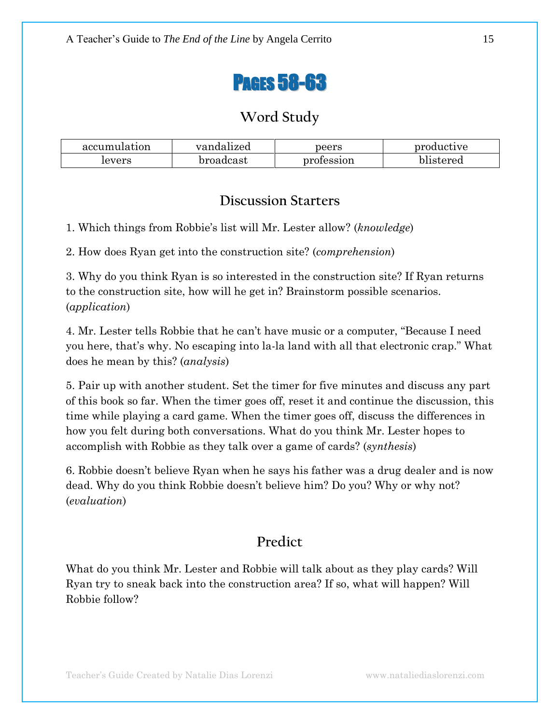

| accumulation | vandalized | peers      | productive |
|--------------|------------|------------|------------|
| levers       | broadcast  | profession | blistered  |

#### **Discussion Starters**

1. Which things from Robbie's list will Mr. Lester allow? (*knowledge*)

2. How does Ryan get into the construction site? (*comprehension*)

3. Why do you think Ryan is so interested in the construction site? If Ryan returns to the construction site, how will he get in? Brainstorm possible scenarios. (*application*)

4. Mr. Lester tells Robbie that he can't have music or a computer, "Because I need you here, that's why. No escaping into la-la land with all that electronic crap." What does he mean by this? (*analysis*)

5. Pair up with another student. Set the timer for five minutes and discuss any part of this book so far. When the timer goes off, reset it and continue the discussion, this time while playing a card game. When the timer goes off, discuss the differences in how you felt during both conversations. What do you think Mr. Lester hopes to accomplish with Robbie as they talk over a game of cards? (*synthesis*)

6. Robbie doesn't believe Ryan when he says his father was a drug dealer and is now dead. Why do you think Robbie doesn't believe him? Do you? Why or why not? (*evaluation*)

## **Predict**

What do you think Mr. Lester and Robbie will talk about as they play cards? Will Ryan try to sneak back into the construction area? If so, what will happen? Will Robbie follow?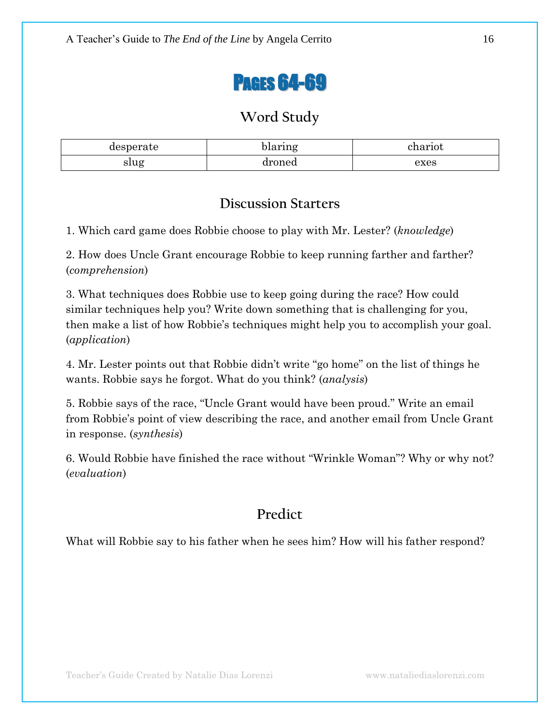

| rate<br>uer | $\sim$      | 0.32301 |
|-------------|-------------|---------|
| slug        | roned<br>ul | exes    |

### **Discussion Starters**

1. Which card game does Robbie choose to play with Mr. Lester? (*knowledge*)

2. How does Uncle Grant encourage Robbie to keep running farther and farther? (*comprehension*)

3. What techniques does Robbie use to keep going during the race? How could similar techniques help you? Write down something that is challenging for you, then make a list of how Robbie's techniques might help you to accomplish your goal. (*application*)

4. Mr. Lester points out that Robbie didn't write "go home" on the list of things he wants. Robbie says he forgot. What do you think? (*analysis*)

5. Robbie says of the race, "Uncle Grant would have been proud." Write an email from Robbie's point of view describing the race, and another email from Uncle Grant in response. (*synthesis*)

6. Would Robbie have finished the race without "Wrinkle Woman"? Why or why not? (*evaluation*)

## **Predict**

What will Robbie say to his father when he sees him? How will his father respond?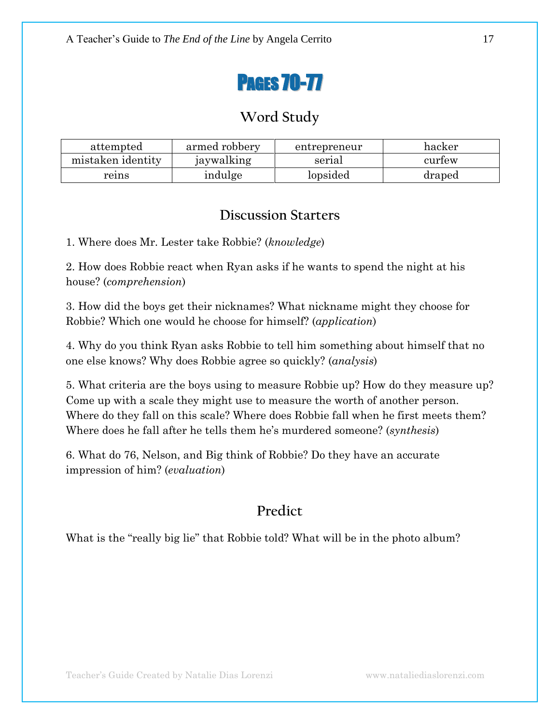

| attempted         | armed robbery | entrepreneur | hacker |
|-------------------|---------------|--------------|--------|
| mistaken identity | jaywalking    | serial       | curtew |
| reins             | indulge       | lopsided     | draped |

#### **Discussion Starters**

1. Where does Mr. Lester take Robbie? (*knowledge*)

2. How does Robbie react when Ryan asks if he wants to spend the night at his house? (*comprehension*)

3. How did the boys get their nicknames? What nickname might they choose for Robbie? Which one would he choose for himself? (*application*)

4. Why do you think Ryan asks Robbie to tell him something about himself that no one else knows? Why does Robbie agree so quickly? (*analysis*)

5. What criteria are the boys using to measure Robbie up? How do they measure up? Come up with a scale they might use to measure the worth of another person. Where do they fall on this scale? Where does Robbie fall when he first meets them? Where does he fall after he tells them he's murdered someone? (*synthesis*)

6. What do 76, Nelson, and Big think of Robbie? Do they have an accurate impression of him? (*evaluation*)

## **Predict**

What is the "really big lie" that Robbie told? What will be in the photo album?

Teacher's Guide Created by Natalie Dias Lorenzi www.nataliediaslorenzi.com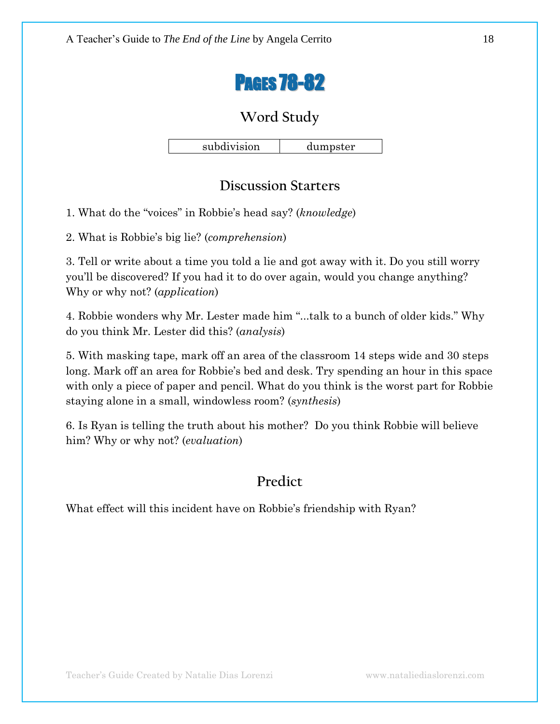

subdivision dumpster

## **Discussion Starters**

1. What do the ―voices‖ in Robbie's head say? (*knowledge*)

2. What is Robbie's big lie? (*comprehension*)

3. Tell or write about a time you told a lie and got away with it. Do you still worry you'll be discovered? If you had it to do over again, would you change anything? Why or why not? (*application*)

4. Robbie wonders why Mr. Lester made him "...talk to a bunch of older kids." Why do you think Mr. Lester did this? (*analysis*)

5. With masking tape, mark off an area of the classroom 14 steps wide and 30 steps long. Mark off an area for Robbie's bed and desk. Try spending an hour in this space with only a piece of paper and pencil. What do you think is the worst part for Robbie staying alone in a small, windowless room? (*synthesis*)

6. Is Ryan is telling the truth about his mother? Do you think Robbie will believe him? Why or why not? (*evaluation*)

### **Predict**

What effect will this incident have on Robbie's friendship with Ryan?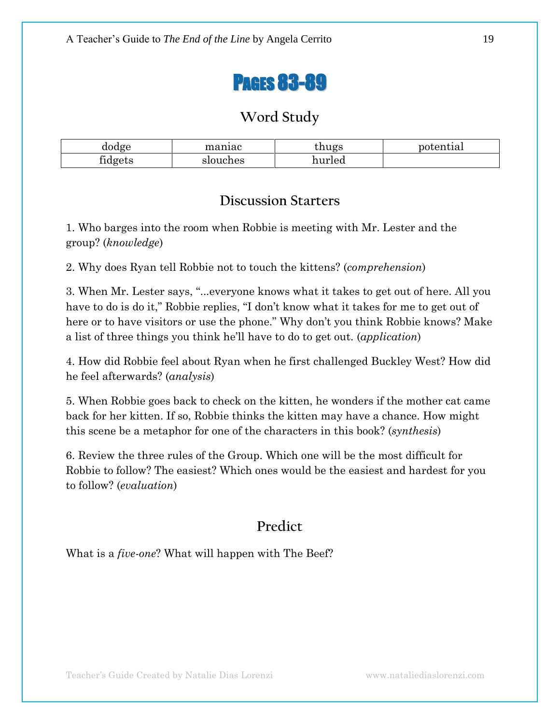

| dodge                | maniac   | hugs   | potential |
|----------------------|----------|--------|-----------|
| œ.<br><b>fidgets</b> | slouches | hurled |           |

#### **Discussion Starters**

1. Who barges into the room when Robbie is meeting with Mr. Lester and the group? (*knowledge*)

2. Why does Ryan tell Robbie not to touch the kittens? (*comprehension*)

3. When Mr. Lester says, "...everyone knows what it takes to get out of here. All you have to do is do it," Robbie replies, "I don't know what it takes for me to get out of here or to have visitors or use the phone." Why don't you think Robbie knows? Make a list of three things you think he'll have to do to get out. (*application*)

4. How did Robbie feel about Ryan when he first challenged Buckley West? How did he feel afterwards? (*analysis*)

5. When Robbie goes back to check on the kitten, he wonders if the mother cat came back for her kitten. If so, Robbie thinks the kitten may have a chance. How might this scene be a metaphor for one of the characters in this book? (*synthesis*)

6. Review the three rules of the Group. Which one will be the most difficult for Robbie to follow? The easiest? Which ones would be the easiest and hardest for you to follow? (*evaluation*)

## **Predict**

What is a *five-one*? What will happen with The Beef?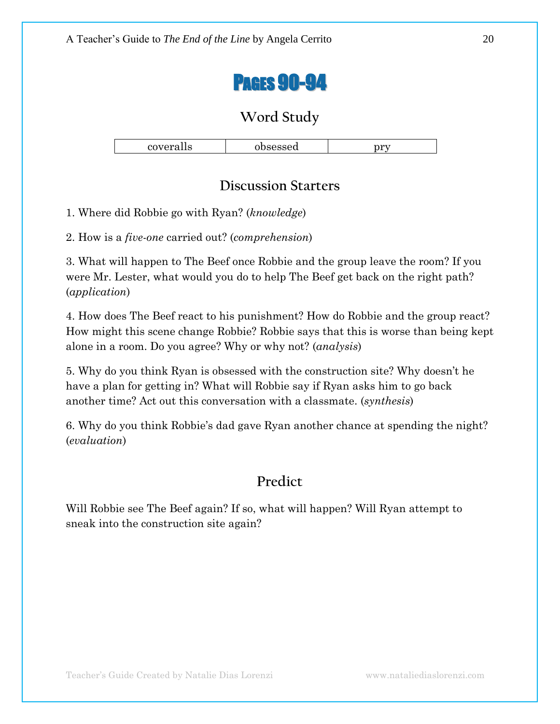

| covera.<br>$\mathbf{H}$<br>станэ | <b>Sheassan</b><br>unscascu | nvet<br>vı |
|----------------------------------|-----------------------------|------------|

### **Discussion Starters**

1. Where did Robbie go with Ryan? (*knowledge*)

2. How is a *five-one* carried out? (*comprehension*)

3. What will happen to The Beef once Robbie and the group leave the room? If you were Mr. Lester, what would you do to help The Beef get back on the right path? (*application*)

4. How does The Beef react to his punishment? How do Robbie and the group react? How might this scene change Robbie? Robbie says that this is worse than being kept alone in a room. Do you agree? Why or why not? (*analysis*)

5. Why do you think Ryan is obsessed with the construction site? Why doesn't he have a plan for getting in? What will Robbie say if Ryan asks him to go back another time? Act out this conversation with a classmate. (*synthesis*)

6. Why do you think Robbie's dad gave Ryan another chance at spending the night? (*evaluation*)

## **Predict**

Will Robbie see The Beef again? If so, what will happen? Will Ryan attempt to sneak into the construction site again?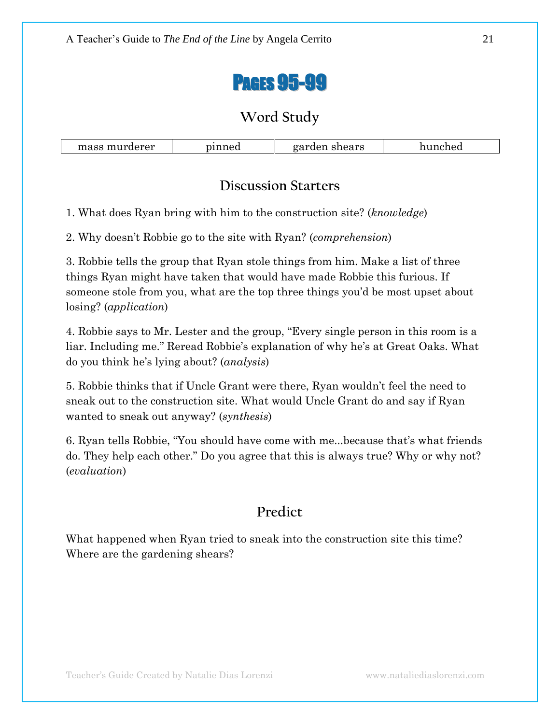

#### **Discussion Starters**

1. What does Ryan bring with him to the construction site? (*knowledge*)

2. Why doesn't Robbie go to the site with Ryan? (*comprehension*)

3. Robbie tells the group that Ryan stole things from him. Make a list of three things Ryan might have taken that would have made Robbie this furious. If someone stole from you, what are the top three things you'd be most upset about losing? (*application*)

4. Robbie says to Mr. Lester and the group, "Every single person in this room is a liar. Including me." Reread Robbie's explanation of why he's at Great Oaks. What do you think he's lying about? (*analysis*)

5. Robbie thinks that if Uncle Grant were there, Ryan wouldn't feel the need to sneak out to the construction site. What would Uncle Grant do and say if Ryan wanted to sneak out anyway? (*synthesis*)

6. Ryan tells Robbie, "You should have come with me...because that's what friends do. They help each other." Do you agree that this is always true? Why or why not? (*evaluation*)

## **Predict**

What happened when Ryan tried to sneak into the construction site this time? Where are the gardening shears?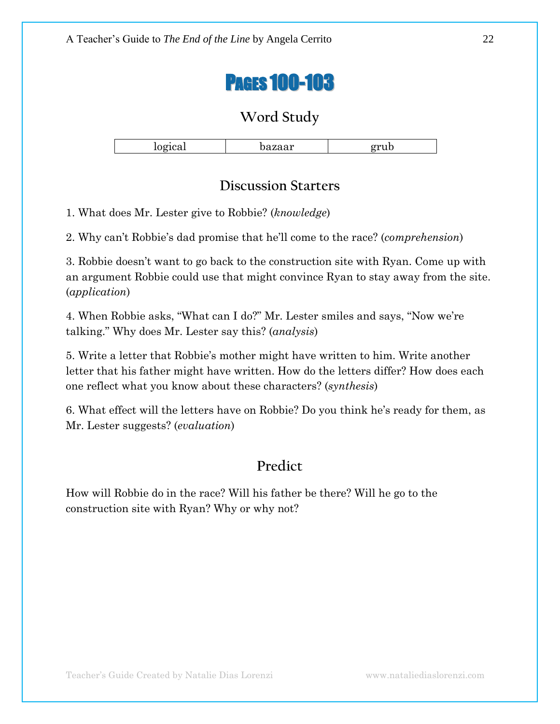

|        | $\sim$ |   |
|--------|--------|---|
| $\sim$ | ᄉ      | ື |
|        |        |   |

### **Discussion Starters**

1. What does Mr. Lester give to Robbie? (*knowledge*)

2. Why can't Robbie's dad promise that he'll come to the race? (*comprehension*)

3. Robbie doesn't want to go back to the construction site with Ryan. Come up with an argument Robbie could use that might convince Ryan to stay away from the site. (*application*)

4. When Robbie asks, "What can I do?" Mr. Lester smiles and says, "Now we're talking.‖ Why does Mr. Lester say this? (*analysis*)

5. Write a letter that Robbie's mother might have written to him. Write another letter that his father might have written. How do the letters differ? How does each one reflect what you know about these characters? (*synthesis*)

6. What effect will the letters have on Robbie? Do you think he's ready for them, as Mr. Lester suggests? (*evaluation*)

## **Predict**

How will Robbie do in the race? Will his father be there? Will he go to the construction site with Ryan? Why or why not?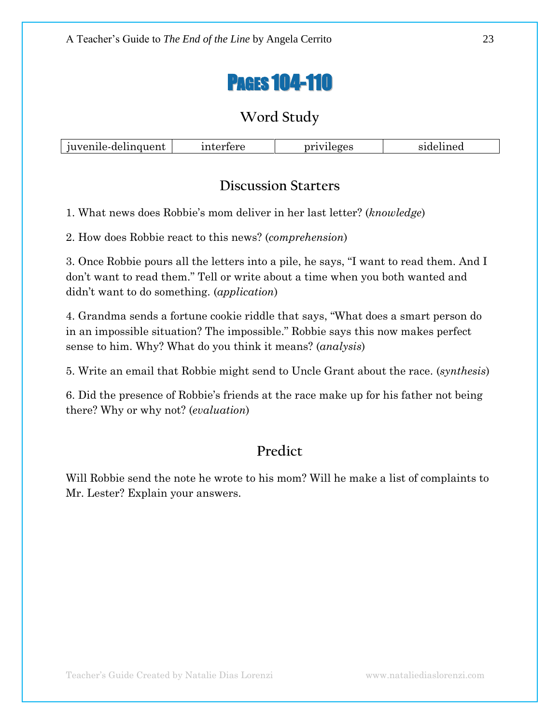

| uvenīle-delinguent | ertere <sup>.</sup><br>unter. | privileges | elined<br>____ |
|--------------------|-------------------------------|------------|----------------|
|--------------------|-------------------------------|------------|----------------|

#### **Discussion Starters**

1. What news does Robbie's mom deliver in her last letter? (*knowledge*)

2. How does Robbie react to this news? (*comprehension*)

3. Once Robbie pours all the letters into a pile, he says, "I want to read them. And I don't want to read them." Tell or write about a time when you both wanted and didn't want to do something. (*application*)

4. Grandma sends a fortune cookie riddle that says, "What does a smart person do in an impossible situation? The impossible." Robbie says this now makes perfect sense to him. Why? What do you think it means? (*analysis*)

5. Write an email that Robbie might send to Uncle Grant about the race. (*synthesis*)

6. Did the presence of Robbie's friends at the race make up for his father not being there? Why or why not? (*evaluation*)

## **Predict**

Will Robbie send the note he wrote to his mom? Will he make a list of complaints to Mr. Lester? Explain your answers.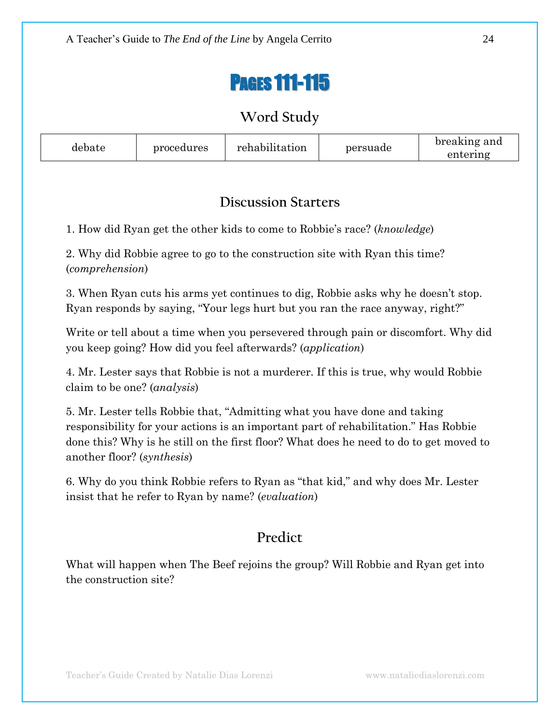# PAGES 111-115

## **Word Study**

| debate | procedures | rehabilitation | persuade | breaking and<br>entering |
|--------|------------|----------------|----------|--------------------------|
|--------|------------|----------------|----------|--------------------------|

## **Discussion Starters**

1. How did Ryan get the other kids to come to Robbie's race? (*knowledge*)

2. Why did Robbie agree to go to the construction site with Ryan this time? (*comprehension*)

3. When Ryan cuts his arms yet continues to dig, Robbie asks why he doesn't stop. Ryan responds by saying, "Your legs hurt but you ran the race anyway, right?"

Write or tell about a time when you persevered through pain or discomfort. Why did you keep going? How did you feel afterwards? (*application*)

4. Mr. Lester says that Robbie is not a murderer. If this is true, why would Robbie claim to be one? (*analysis*)

5. Mr. Lester tells Robbie that, "Admitting what you have done and taking responsibility for your actions is an important part of rehabilitation." Has Robbie done this? Why is he still on the first floor? What does he need to do to get moved to another floor? (*synthesis*)

6. Why do you think Robbie refers to Ryan as "that kid," and why does Mr. Lester insist that he refer to Ryan by name? (*evaluation*)

## **Predict**

What will happen when The Beef rejoins the group? Will Robbie and Ryan get into the construction site?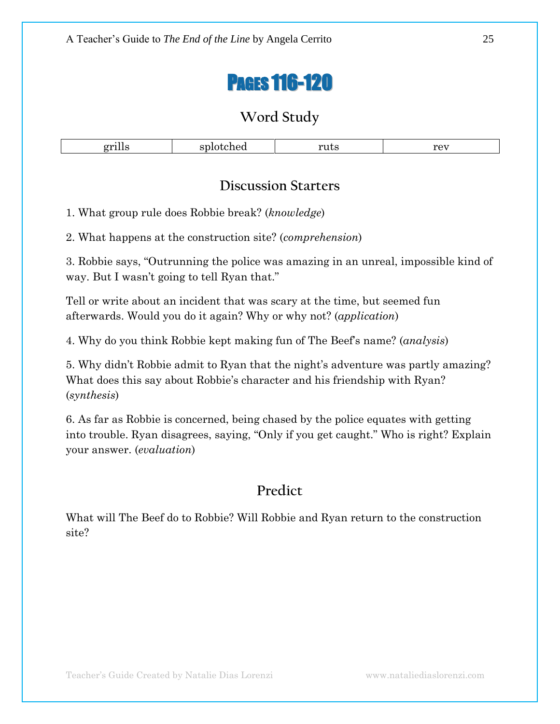# PAGES 116-120

## **Word Study**

| $\sim$<br>. | uus<br> | $P\Omega T$<br>$\sim$ $\sim$ $\sim$ |
|-------------|---------|-------------------------------------|

### **Discussion Starters**

1. What group rule does Robbie break? (*knowledge*)

2. What happens at the construction site? (*comprehension*)

3. Robbie says, "Outrunning the police was amazing in an unreal, impossible kind of way. But I wasn't going to tell Ryan that."

Tell or write about an incident that was scary at the time, but seemed fun afterwards. Would you do it again? Why or why not? (*application*)

4. Why do you think Robbie kept making fun of The Beef's name? (*analysis*)

5. Why didn't Robbie admit to Ryan that the night's adventure was partly amazing? What does this say about Robbie's character and his friendship with Ryan? (*synthesis*)

6. As far as Robbie is concerned, being chased by the police equates with getting into trouble. Ryan disagrees, saying, "Only if you get caught." Who is right? Explain your answer. (*evaluation*)

## **Predict**

What will The Beef do to Robbie? Will Robbie and Ryan return to the construction site?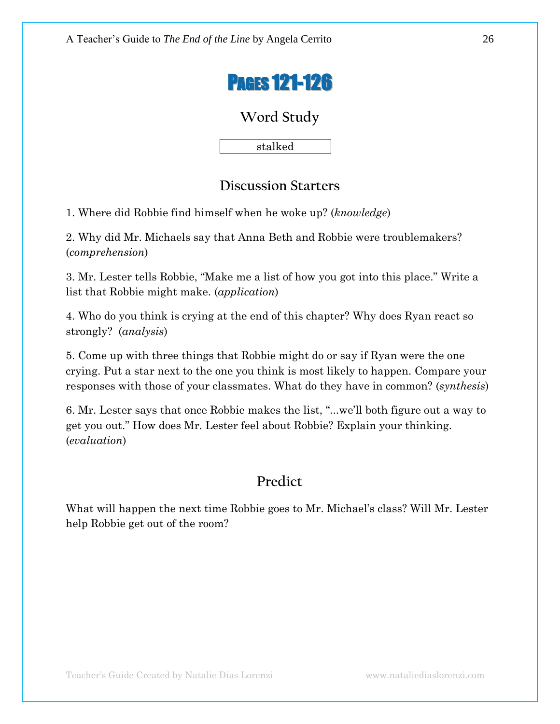

stalked

### **Discussion Starters**

1. Where did Robbie find himself when he woke up? (*knowledge*)

2. Why did Mr. Michaels say that Anna Beth and Robbie were troublemakers? (*comprehension*)

3. Mr. Lester tells Robbie, "Make me a list of how you got into this place." Write a list that Robbie might make. (*application*)

4. Who do you think is crying at the end of this chapter? Why does Ryan react so strongly? (*analysis*)

5. Come up with three things that Robbie might do or say if Ryan were the one crying. Put a star next to the one you think is most likely to happen. Compare your responses with those of your classmates. What do they have in common? (*synthesis*)

6. Mr. Lester says that once Robbie makes the list, ―...we'll both figure out a way to get you out." How does Mr. Lester feel about Robbie? Explain your thinking. (*evaluation*)

## **Predict**

What will happen the next time Robbie goes to Mr. Michael's class? Will Mr. Lester help Robbie get out of the room?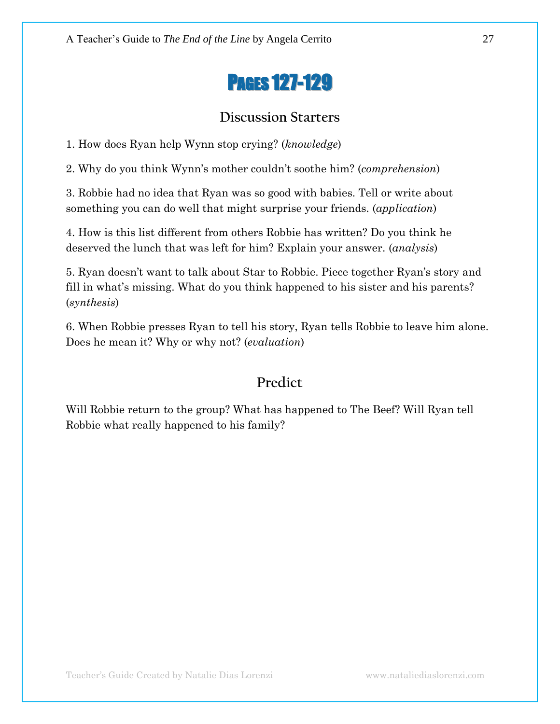# PAGES 127-129

### **Discussion Starters**

1. How does Ryan help Wynn stop crying? (*knowledge*)

2. Why do you think Wynn's mother couldn't soothe him? (*comprehension*)

3. Robbie had no idea that Ryan was so good with babies. Tell or write about something you can do well that might surprise your friends. (*application*)

4. How is this list different from others Robbie has written? Do you think he deserved the lunch that was left for him? Explain your answer. (*analysis*)

5. Ryan doesn't want to talk about Star to Robbie. Piece together Ryan's story and fill in what's missing. What do you think happened to his sister and his parents? (*synthesis*)

6. When Robbie presses Ryan to tell his story, Ryan tells Robbie to leave him alone. Does he mean it? Why or why not? (*evaluation*)

## **Predict**

Will Robbie return to the group? What has happened to The Beef? Will Ryan tell Robbie what really happened to his family?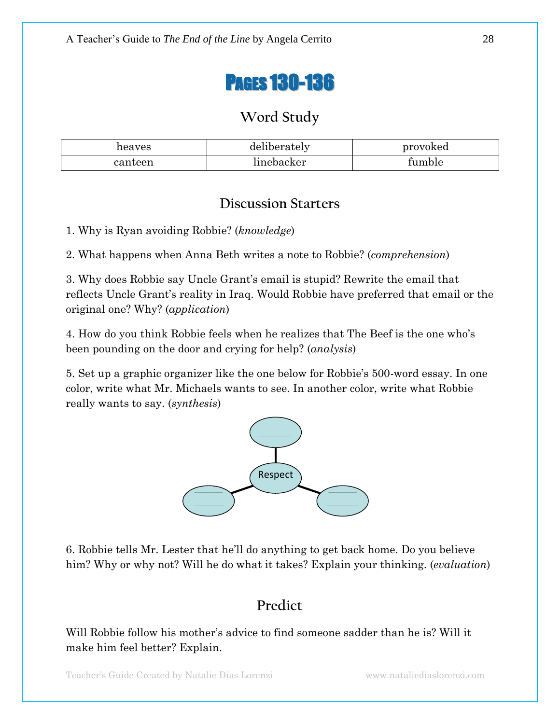# PAGES 130-136

## **Word Study**

| heaves  | 7.1<br>deliberately | provoked |
|---------|---------------------|----------|
| canteen | linebacker          | tumble   |

### **Discussion Starters**

1. Why is Ryan avoiding Robbie? (*knowledge*)

2. What happens when Anna Beth writes a note to Robbie? (*comprehension*)

3. Why does Robbie say Uncle Grant's email is stupid? Rewrite the email that reflects Uncle Grant's reality in Iraq. Would Robbie have preferred that email or the original one? Why? (*application*)

4. How do you think Robbie feels when he realizes that The Beef is the one who's been pounding on the door and crying for help? (*analysis*)

5. Set up a graphic organizer like the one below for Robbie's 500-word essay. In one color, write what Mr. Michaels wants to see. In another color, write what Robbie really wants to say. (*synthesis*)



6. Robbie tells Mr. Lester that he'll do anything to get back home. Do you believe him? Why or why not? Will he do what it takes? Explain your thinking. (*evaluation*)

## **Predict**

Will Robbie follow his mother's advice to find someone sadder than he is? Will it make him feel better? Explain.

Teacher's Guide Created by Natalie Dias Lorenzi www.nataliediaslorenzi.com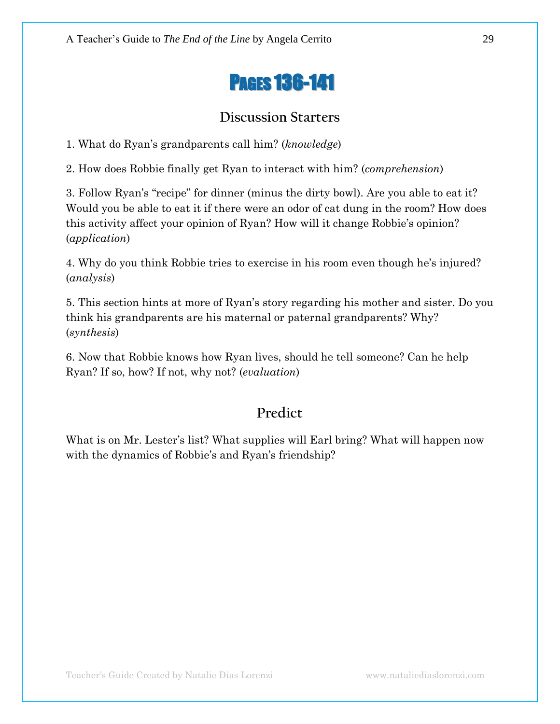# PAGES 136-141

## **Discussion Starters**

1. What do Ryan's grandparents call him? (*knowledge*)

2. How does Robbie finally get Ryan to interact with him? (*comprehension*)

3. Follow Ryan's "recipe" for dinner (minus the dirty bowl). Are you able to eat it? Would you be able to eat it if there were an odor of cat dung in the room? How does this activity affect your opinion of Ryan? How will it change Robbie's opinion? (*application*)

4. Why do you think Robbie tries to exercise in his room even though he's injured? (*analysis*)

5. This section hints at more of Ryan's story regarding his mother and sister. Do you think his grandparents are his maternal or paternal grandparents? Why? (*synthesis*)

6. Now that Robbie knows how Ryan lives, should he tell someone? Can he help Ryan? If so, how? If not, why not? (*evaluation*)

## **Predict**

What is on Mr. Lester's list? What supplies will Earl bring? What will happen now with the dynamics of Robbie's and Ryan's friendship?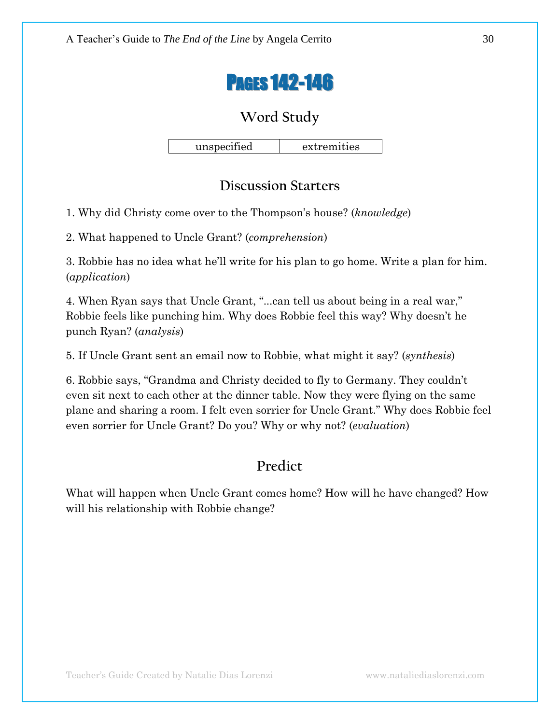

unspecified extremities

### **Discussion Starters**

1. Why did Christy come over to the Thompson's house? (*knowledge*)

2. What happened to Uncle Grant? (*comprehension*)

3. Robbie has no idea what he'll write for his plan to go home. Write a plan for him. (*application*)

4. When Ryan says that Uncle Grant, "...can tell us about being in a real war," Robbie feels like punching him. Why does Robbie feel this way? Why doesn't he punch Ryan? (*analysis*)

5. If Uncle Grant sent an email now to Robbie, what might it say? (*synthesis*)

6. Robbie says, ―Grandma and Christy decided to fly to Germany. They couldn't even sit next to each other at the dinner table. Now they were flying on the same plane and sharing a room. I felt even sorrier for Uncle Grant.‖ Why does Robbie feel even sorrier for Uncle Grant? Do you? Why or why not? (*evaluation*)

## **Predict**

What will happen when Uncle Grant comes home? How will he have changed? How will his relationship with Robbie change?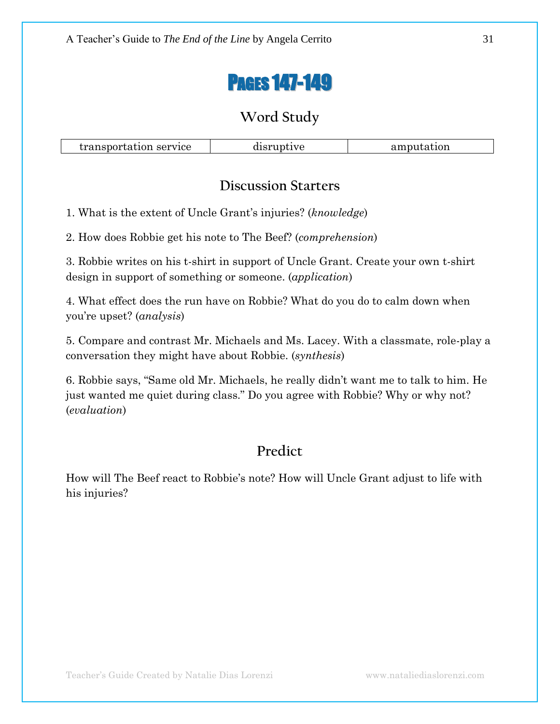

transportation service disruptive amputation

## **Discussion Starters**

1. What is the extent of Uncle Grant's injuries? (*knowledge*)

2. How does Robbie get his note to The Beef? (*comprehension*)

3. Robbie writes on his t-shirt in support of Uncle Grant. Create your own t-shirt design in support of something or someone. (*application*)

4. What effect does the run have on Robbie? What do you do to calm down when you're upset? (*analysis*)

5. Compare and contrast Mr. Michaels and Ms. Lacey. With a classmate, role-play a conversation they might have about Robbie. (*synthesis*)

6. Robbie says, "Same old Mr. Michaels, he really didn't want me to talk to him. He just wanted me quiet during class." Do you agree with Robbie? Why or why not? (*evaluation*)

# **Predict**

How will The Beef react to Robbie's note? How will Uncle Grant adjust to life with his injuries?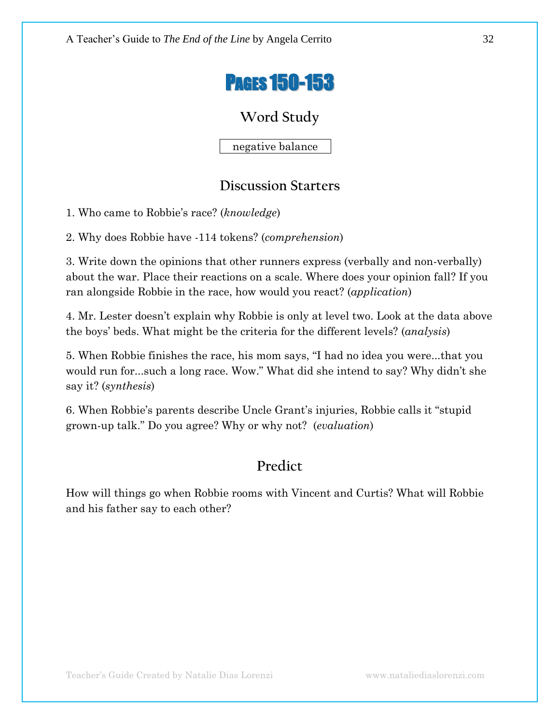

negative balance

### **Discussion Starters**

1. Who came to Robbie's race? (*knowledge*)

2. Why does Robbie have -114 tokens? (*comprehension*)

3. Write down the opinions that other runners express (verbally and non-verbally) about the war. Place their reactions on a scale. Where does your opinion fall? If you ran alongside Robbie in the race, how would you react? (*application*)

4. Mr. Lester doesn't explain why Robbie is only at level two. Look at the data above the boys' beds. What might be the criteria for the different levels? (*analysis*)

5. When Robbie finishes the race, his mom says, "I had no idea you were...that you would run for...such a long race. Wow." What did she intend to say? Why didn't she say it? (*synthesis*)

6. When Robbie's parents describe Uncle Grant's injuries, Robbie calls it "stupid" grown-up talk.‖ Do you agree? Why or why not? (*evaluation*)

## **Predict**

How will things go when Robbie rooms with Vincent and Curtis? What will Robbie and his father say to each other?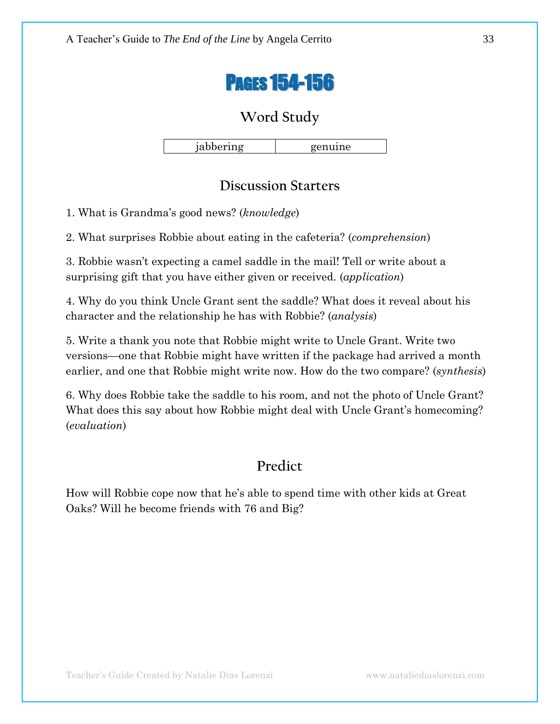

jabbering genuine

## **Discussion Starters**

1. What is Grandma's good news? (*knowledge*)

2. What surprises Robbie about eating in the cafeteria? (*comprehension*)

3. Robbie wasn't expecting a camel saddle in the mail! Tell or write about a surprising gift that you have either given or received. (*application*)

4. Why do you think Uncle Grant sent the saddle? What does it reveal about his character and the relationship he has with Robbie? (*analysis*)

5. Write a thank you note that Robbie might write to Uncle Grant. Write two versions—one that Robbie might have written if the package had arrived a month earlier, and one that Robbie might write now. How do the two compare? (*synthesis*)

6. Why does Robbie take the saddle to his room, and not the photo of Uncle Grant? What does this say about how Robbie might deal with Uncle Grant's homecoming? (*evaluation*)

## **Predict**

How will Robbie cope now that he's able to spend time with other kids at Great Oaks? Will he become friends with 76 and Big?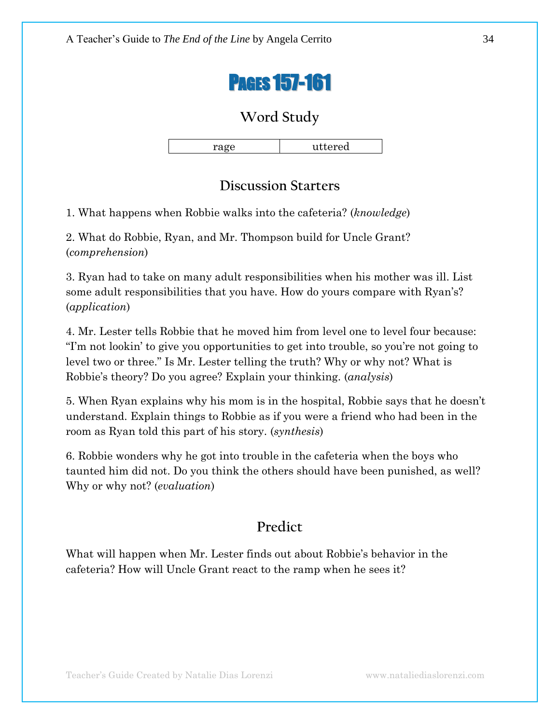

rage uttered

## **Discussion Starters**

1. What happens when Robbie walks into the cafeteria? (*knowledge*)

2. What do Robbie, Ryan, and Mr. Thompson build for Uncle Grant? (*comprehension*)

3. Ryan had to take on many adult responsibilities when his mother was ill. List some adult responsibilities that you have. How do yours compare with Ryan's? (*application*)

4. Mr. Lester tells Robbie that he moved him from level one to level four because: ―I'm not lookin' to give you opportunities to get into trouble, so you're not going to level two or three." Is Mr. Lester telling the truth? Why or why not? What is Robbie's theory? Do you agree? Explain your thinking. (*analysis*)

5. When Ryan explains why his mom is in the hospital, Robbie says that he doesn't understand. Explain things to Robbie as if you were a friend who had been in the room as Ryan told this part of his story. (*synthesis*)

6. Robbie wonders why he got into trouble in the cafeteria when the boys who taunted him did not. Do you think the others should have been punished, as well? Why or why not? (*evaluation*)

## **Predict**

What will happen when Mr. Lester finds out about Robbie's behavior in the cafeteria? How will Uncle Grant react to the ramp when he sees it?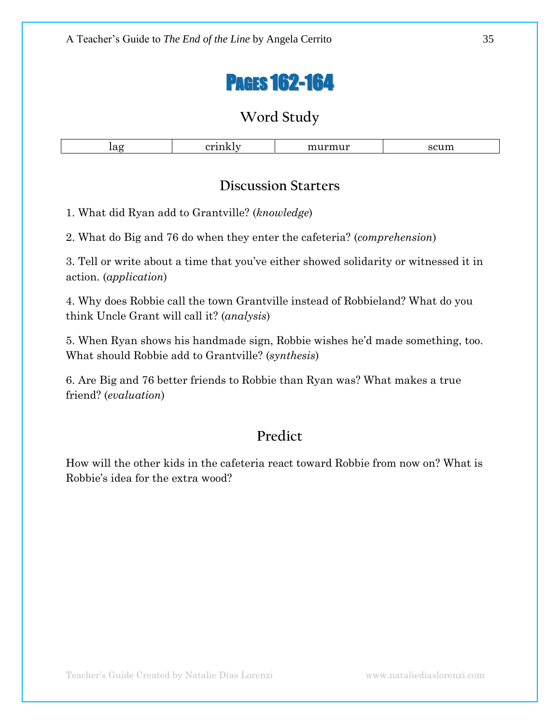# PAGES 162-164

## **Word Study**

| ıar | ------------ | $- - - - -$<br>. |
|-----|--------------|------------------|

#### **Discussion Starters**

1. What did Ryan add to Grantville? (*knowledge*)

2. What do Big and 76 do when they enter the cafeteria? (*comprehension*)

3. Tell or write about a time that you've either showed solidarity or witnessed it in action. (*application*)

4. Why does Robbie call the town Grantville instead of Robbieland? What do you think Uncle Grant will call it? (*analysis*)

5. When Ryan shows his handmade sign, Robbie wishes he'd made something, too. What should Robbie add to Grantville? (*synthesis*)

6. Are Big and 76 better friends to Robbie than Ryan was? What makes a true friend? (*evaluation*)

## **Predict**

How will the other kids in the cafeteria react toward Robbie from now on? What is Robbie's idea for the extra wood?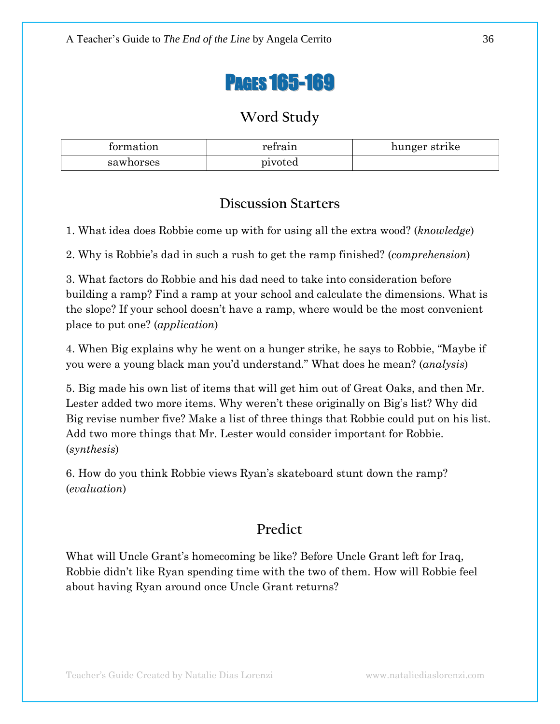# PAGES 165-169

## **Word Study**

| tormation | retrain | hunger strike |
|-----------|---------|---------------|
| sawhorses | pivoted |               |

### **Discussion Starters**

1. What idea does Robbie come up with for using all the extra wood? (*knowledge*)

2. Why is Robbie's dad in such a rush to get the ramp finished? (*comprehension*)

3. What factors do Robbie and his dad need to take into consideration before building a ramp? Find a ramp at your school and calculate the dimensions. What is the slope? If your school doesn't have a ramp, where would be the most convenient place to put one? (*application*)

4. When Big explains why he went on a hunger strike, he says to Robbie, "Maybe if you were a young black man you'd understand.‖ What does he mean? (*analysis*)

5. Big made his own list of items that will get him out of Great Oaks, and then Mr. Lester added two more items. Why weren't these originally on Big's list? Why did Big revise number five? Make a list of three things that Robbie could put on his list. Add two more things that Mr. Lester would consider important for Robbie. (*synthesis*)

6. How do you think Robbie views Ryan's skateboard stunt down the ramp? (*evaluation*)

## **Predict**

What will Uncle Grant's homecoming be like? Before Uncle Grant left for Iraq, Robbie didn't like Ryan spending time with the two of them. How will Robbie feel about having Ryan around once Uncle Grant returns?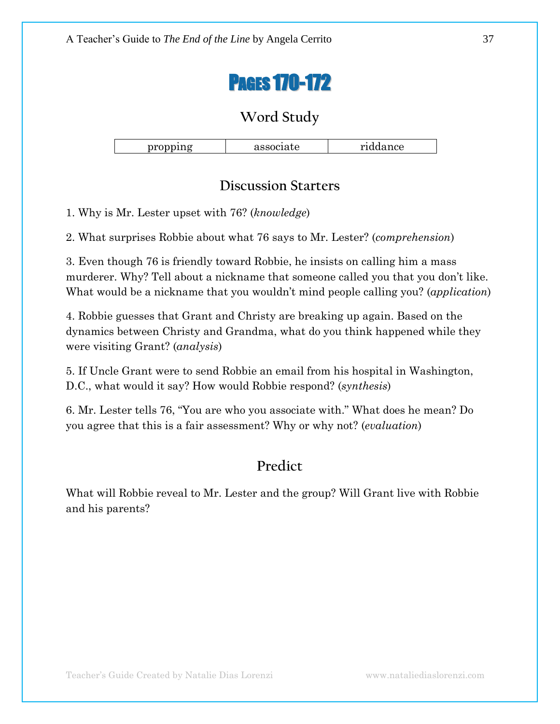

| $\sim$ $\sim$ $\sim$<br>$-20 - 20 - 20$<br>. . | . . | 303<br>UU<br>.<br>--------- |
|------------------------------------------------|-----|-----------------------------|

## **Discussion Starters**

1. Why is Mr. Lester upset with 76? (*knowledge*)

2. What surprises Robbie about what 76 says to Mr. Lester? (*comprehension*)

3. Even though 76 is friendly toward Robbie, he insists on calling him a mass murderer. Why? Tell about a nickname that someone called you that you don't like. What would be a nickname that you wouldn't mind people calling you? (*application*)

4. Robbie guesses that Grant and Christy are breaking up again. Based on the dynamics between Christy and Grandma, what do you think happened while they were visiting Grant? (*analysis*)

5. If Uncle Grant were to send Robbie an email from his hospital in Washington, D.C., what would it say? How would Robbie respond? (*synthesis*)

6. Mr. Lester tells 76, "You are who you associate with." What does he mean? Do you agree that this is a fair assessment? Why or why not? (*evaluation*)

## **Predict**

What will Robbie reveal to Mr. Lester and the group? Will Grant live with Robbie and his parents?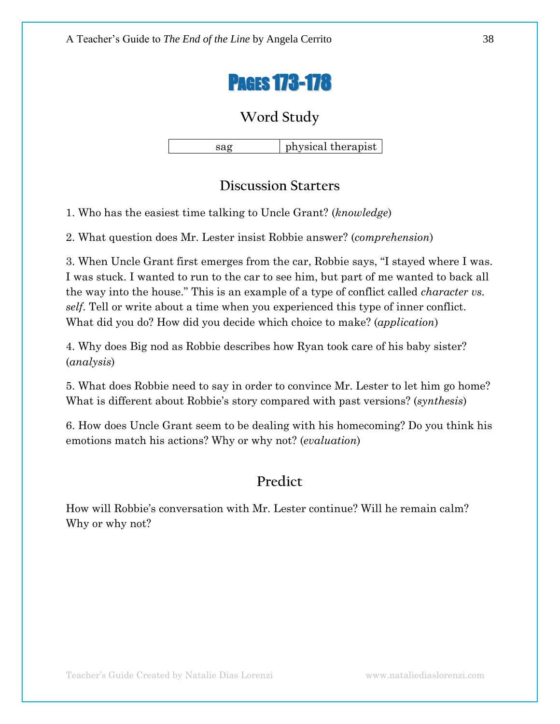

sag hysical therapist

### **Discussion Starters**

1. Who has the easiest time talking to Uncle Grant? (*knowledge*)

2. What question does Mr. Lester insist Robbie answer? (*comprehension*)

3. When Uncle Grant first emerges from the car, Robbie says, "I stayed where I was. I was stuck. I wanted to run to the car to see him, but part of me wanted to back all the way into the house." This is an example of a type of conflict called *character vs. self*. Tell or write about a time when you experienced this type of inner conflict. What did you do? How did you decide which choice to make? (*application*)

4. Why does Big nod as Robbie describes how Ryan took care of his baby sister? (*analysis*)

5. What does Robbie need to say in order to convince Mr. Lester to let him go home? What is different about Robbie's story compared with past versions? (*synthesis*)

6. How does Uncle Grant seem to be dealing with his homecoming? Do you think his emotions match his actions? Why or why not? (*evaluation*)

## **Predict**

How will Robbie's conversation with Mr. Lester continue? Will he remain calm? Why or why not?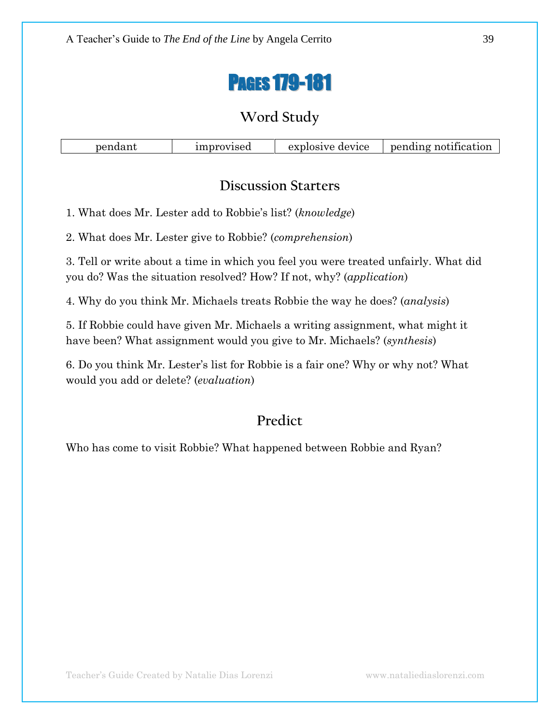

| improvised<br>pendant | explosive device | pending notification |
|-----------------------|------------------|----------------------|
|-----------------------|------------------|----------------------|

#### **Discussion Starters**

1. What does Mr. Lester add to Robbie's list? (*knowledge*)

2. What does Mr. Lester give to Robbie? (*comprehension*)

3. Tell or write about a time in which you feel you were treated unfairly. What did you do? Was the situation resolved? How? If not, why? (*application*)

4. Why do you think Mr. Michaels treats Robbie the way he does? (*analysis*)

5. If Robbie could have given Mr. Michaels a writing assignment, what might it have been? What assignment would you give to Mr. Michaels? (*synthesis*)

6. Do you think Mr. Lester's list for Robbie is a fair one? Why or why not? What would you add or delete? (*evaluation*)

# **Predict**

Who has come to visit Robbie? What happened between Robbie and Ryan?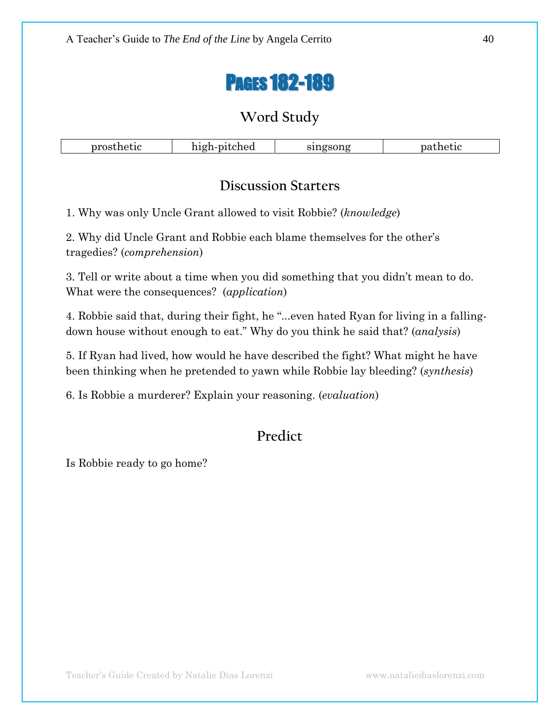# PAGES 182-189

## **Word Study**

| prosthetic | pitched<br>່າເຂກ-ການ | singsong      | $  -$<br>ทลา<br>лис |
|------------|----------------------|---------------|---------------------|
|            |                      | $\sim$ $\sim$ |                     |

### **Discussion Starters**

1. Why was only Uncle Grant allowed to visit Robbie? (*knowledge*)

2. Why did Uncle Grant and Robbie each blame themselves for the other's tragedies? (*comprehension*)

3. Tell or write about a time when you did something that you didn't mean to do. What were the consequences? (*application*)

4. Robbie said that, during their fight, he "... even hated Ryan for living in a fallingdown house without enough to eat.‖ Why do you think he said that? (*analysis*)

5. If Ryan had lived, how would he have described the fight? What might he have been thinking when he pretended to yawn while Robbie lay bleeding? (*synthesis*)

6. Is Robbie a murderer? Explain your reasoning. (*evaluation*)

## **Predict**

Is Robbie ready to go home?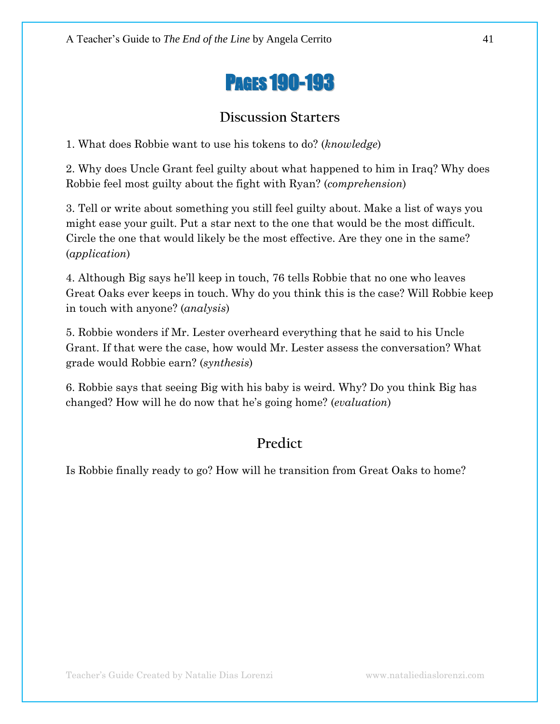

## **Discussion Starters**

1. What does Robbie want to use his tokens to do? (*knowledge*)

2. Why does Uncle Grant feel guilty about what happened to him in Iraq? Why does Robbie feel most guilty about the fight with Ryan? (*comprehension*)

3. Tell or write about something you still feel guilty about. Make a list of ways you might ease your guilt. Put a star next to the one that would be the most difficult. Circle the one that would likely be the most effective. Are they one in the same? (*application*)

4. Although Big says he'll keep in touch, 76 tells Robbie that no one who leaves Great Oaks ever keeps in touch. Why do you think this is the case? Will Robbie keep in touch with anyone? (*analysis*)

5. Robbie wonders if Mr. Lester overheard everything that he said to his Uncle Grant. If that were the case, how would Mr. Lester assess the conversation? What grade would Robbie earn? (*synthesis*)

6. Robbie says that seeing Big with his baby is weird. Why? Do you think Big has changed? How will he do now that he's going home? (*evaluation*)

## **Predict**

Is Robbie finally ready to go? How will he transition from Great Oaks to home?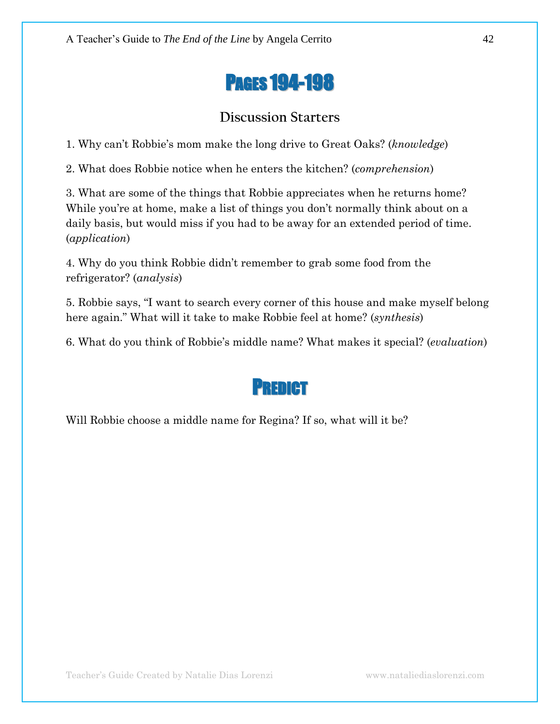

## **Discussion Starters**

1. Why can't Robbie's mom make the long drive to Great Oaks? (*knowledge*)

2. What does Robbie notice when he enters the kitchen? (*comprehension*)

3. What are some of the things that Robbie appreciates when he returns home? While you're at home, make a list of things you don't normally think about on a daily basis, but would miss if you had to be away for an extended period of time. (*application*)

4. Why do you think Robbie didn't remember to grab some food from the refrigerator? (*analysis*)

5. Robbie says, "I want to search every corner of this house and make myself belong here again.‖ What will it take to make Robbie feel at home? (*synthesis*)

6. What do you think of Robbie's middle name? What makes it special? (*evaluation*)

# PREDICT

Will Robbie choose a middle name for Regina? If so, what will it be?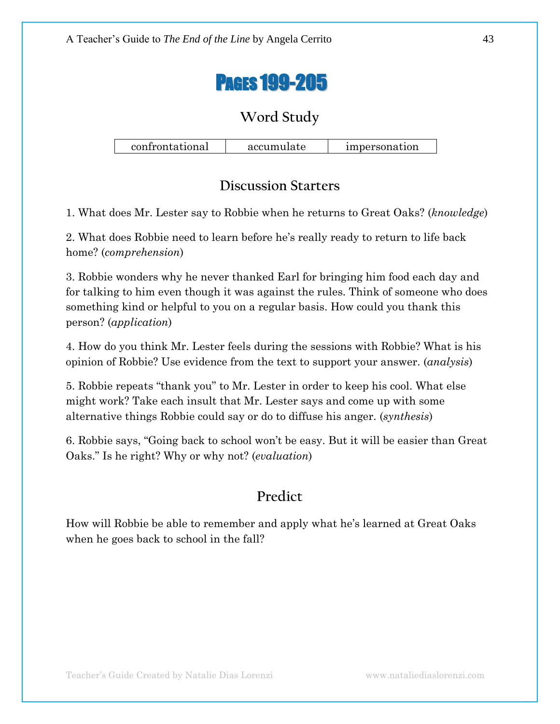

confrontational accumulate impersonation

## **Discussion Starters**

1. What does Mr. Lester say to Robbie when he returns to Great Oaks? (*knowledge*)

2. What does Robbie need to learn before he's really ready to return to life back home? (*comprehension*)

3. Robbie wonders why he never thanked Earl for bringing him food each day and for talking to him even though it was against the rules. Think of someone who does something kind or helpful to you on a regular basis. How could you thank this person? (*application*)

4. How do you think Mr. Lester feels during the sessions with Robbie? What is his opinion of Robbie? Use evidence from the text to support your answer. (*analysis*)

5. Robbie repeats "thank you" to Mr. Lester in order to keep his cool. What else might work? Take each insult that Mr. Lester says and come up with some alternative things Robbie could say or do to diffuse his anger. (*synthesis*)

6. Robbie says, "Going back to school won't be easy. But it will be easier than Great Oaks.‖ Is he right? Why or why not? (*evaluation*)

## **Predict**

How will Robbie be able to remember and apply what he's learned at Great Oaks when he goes back to school in the fall?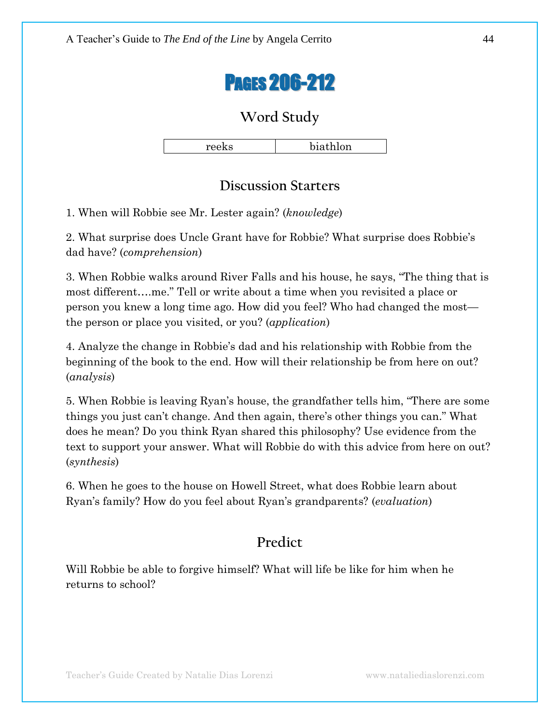

reeks biathlon

### **Discussion Starters**

1. When will Robbie see Mr. Lester again? (*knowledge*)

2. What surprise does Uncle Grant have for Robbie? What surprise does Robbie's dad have? (*comprehension*)

3. When Robbie walks around River Falls and his house, he says, "The thing that is most different....me." Tell or write about a time when you revisited a place or person you knew a long time ago. How did you feel? Who had changed the most the person or place you visited, or you? (*application*)

4. Analyze the change in Robbie's dad and his relationship with Robbie from the beginning of the book to the end. How will their relationship be from here on out? (*analysis*)

5. When Robbie is leaving Ryan's house, the grandfather tells him, "There are some things you just can't change. And then again, there's other things you can." What does he mean? Do you think Ryan shared this philosophy? Use evidence from the text to support your answer. What will Robbie do with this advice from here on out? (*synthesis*)

6. When he goes to the house on Howell Street, what does Robbie learn about Ryan's family? How do you feel about Ryan's grandparents? (*evaluation*)

## **Predict**

Will Robbie be able to forgive himself? What will life be like for him when he returns to school?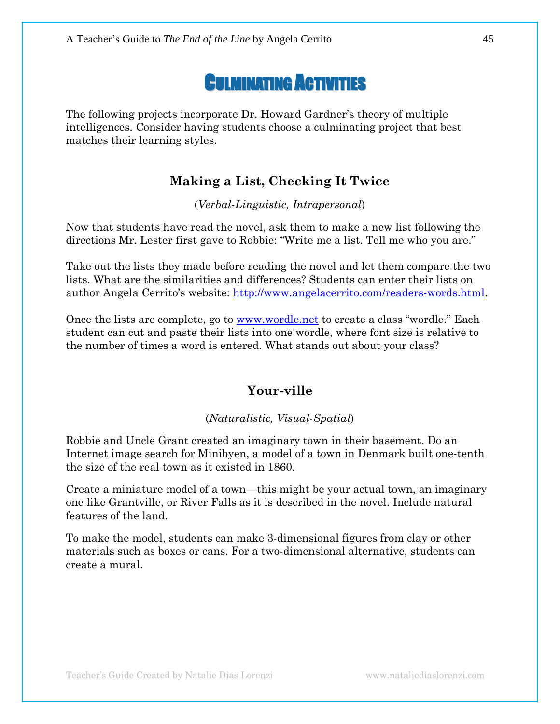# CULMINATING ACTIVITIES

The following projects incorporate Dr. Howard Gardner's theory of multiple intelligences. Consider having students choose a culminating project that best matches their learning styles.

#### **Making a List, Checking It Twice**

(*Verbal-Linguistic, Intrapersonal*)

Now that students have read the novel, ask them to make a new list following the directions Mr. Lester first gave to Robbie: "Write me a list. Tell me who you are."

Take out the lists they made before reading the novel and let them compare the two lists. What are the similarities and differences? Students can enter their lists on author Angela Cerrito's website: [http://www.angelacerrito.com/readers-words.html.](http://www.angelacerrito.com/readers-words.html)

Once the lists are complete, go to [www.wordle.net](http://www.wordle.net/) to create a class "wordle." Each student can cut and paste their lists into one wordle, where font size is relative to the number of times a word is entered. What stands out about your class?

#### **Your-ville**

#### (*Naturalistic, Visual-Spatial*)

Robbie and Uncle Grant created an imaginary town in their basement. Do an Internet image search for Minibyen, a model of a town in Denmark built one-tenth the size of the real town as it existed in 1860.

Create a miniature model of a town—this might be your actual town, an imaginary one like Grantville, or River Falls as it is described in the novel. Include natural features of the land.

To make the model, students can make 3-dimensional figures from clay or other materials such as boxes or cans. For a two-dimensional alternative, students can create a mural.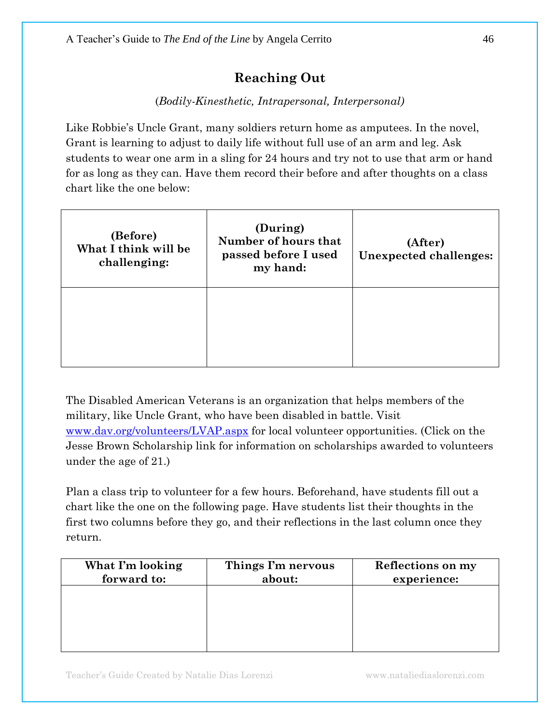## **Reaching Out**

#### (*Bodily-Kinesthetic, Intrapersonal, Interpersonal)*

Like Robbie's Uncle Grant, many soldiers return home as amputees. In the novel, Grant is learning to adjust to daily life without full use of an arm and leg. Ask students to wear one arm in a sling for 24 hours and try not to use that arm or hand for as long as they can. Have them record their before and after thoughts on a class chart like the one below:

| (Before)<br>What I think will be<br>challenging: | (During)<br>Number of hours that<br>passed before I used<br>my hand: | (After)<br>Unexpected challenges: |
|--------------------------------------------------|----------------------------------------------------------------------|-----------------------------------|
|                                                  |                                                                      |                                   |

The Disabled American Veterans is an organization that helps members of the military, like Uncle Grant, who have been disabled in battle. Visit [www.dav.org/volunteers/LVAP.aspx](http://www.dav.org/volunteers/LVAP.aspx) for local volunteer opportunities. (Click on the Jesse Brown Scholarship link for information on scholarships awarded to volunteers under the age of 21.)

Plan a class trip to volunteer for a few hours. Beforehand, have students fill out a chart like the one on the following page. Have students list their thoughts in the first two columns before they go, and their reflections in the last column once they return.

| What I'm looking | Things I'm nervous | Reflections on my |
|------------------|--------------------|-------------------|
| forward to:      | about:             | experience:       |
|                  |                    |                   |
|                  |                    |                   |
|                  |                    |                   |
|                  |                    |                   |
|                  |                    |                   |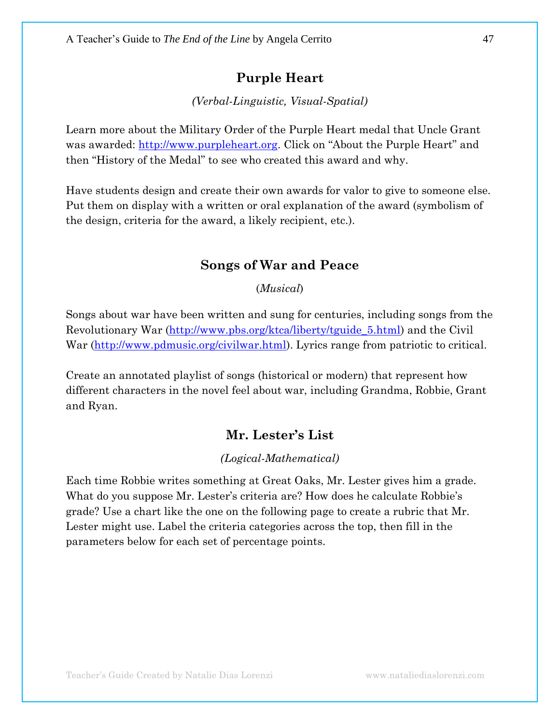#### **Purple Heart**

*(Verbal-Linguistic, Visual-Spatial)*

Learn more about the Military Order of the Purple Heart medal that Uncle Grant was awarded: [http://www.purpleheart.org](http://www.purpleheart.org/). Click on "About the Purple Heart" and then "History of the Medal" to see who created this award and why.

Have students design and create their own awards for valor to give to someone else. Put them on display with a written or oral explanation of the award (symbolism of the design, criteria for the award, a likely recipient, etc.).

#### **Songs of War and Peace**

(*Musical*)

Songs about war have been written and sung for centuries, including songs from the Revolutionary War [\(http://www.pbs.org/ktca/liberty/tguide\\_5.html\)](http://www.pbs.org/ktca/liberty/tguide_5.html) and the Civil War [\(http://www.pdmusic.org/civilwar.html\)](http://www.pdmusic.org/civilwar.html). Lyrics range from patriotic to critical.

Create an annotated playlist of songs (historical or modern) that represent how different characters in the novel feel about war, including Grandma, Robbie, Grant and Ryan.

#### **Mr. Lester's List**

#### *(Logical-Mathematical)*

Each time Robbie writes something at Great Oaks, Mr. Lester gives him a grade. What do you suppose Mr. Lester's criteria are? How does he calculate Robbie's grade? Use a chart like the one on the following page to create a rubric that Mr. Lester might use. Label the criteria categories across the top, then fill in the parameters below for each set of percentage points.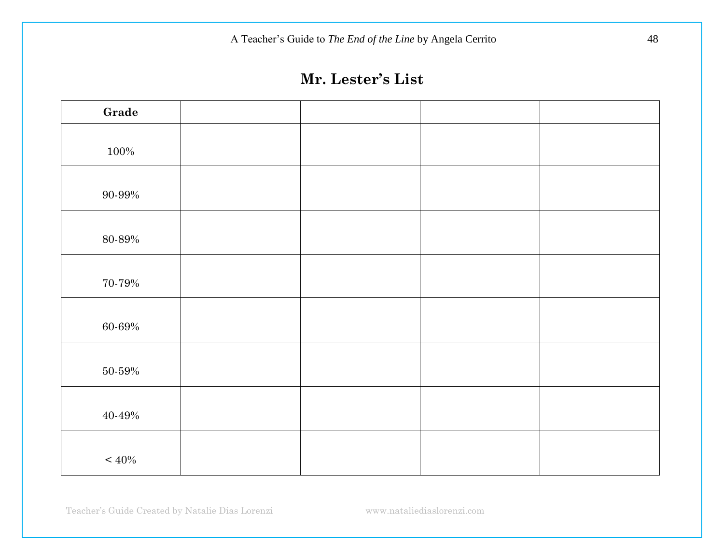A Teacher's Guide to *The End of the Line* by Angela Cerrito 48

# **Mr. Lester's List**

Teacher's Guide Created by Natalie Dias Lorenzi www.nataliediaslorenzi.com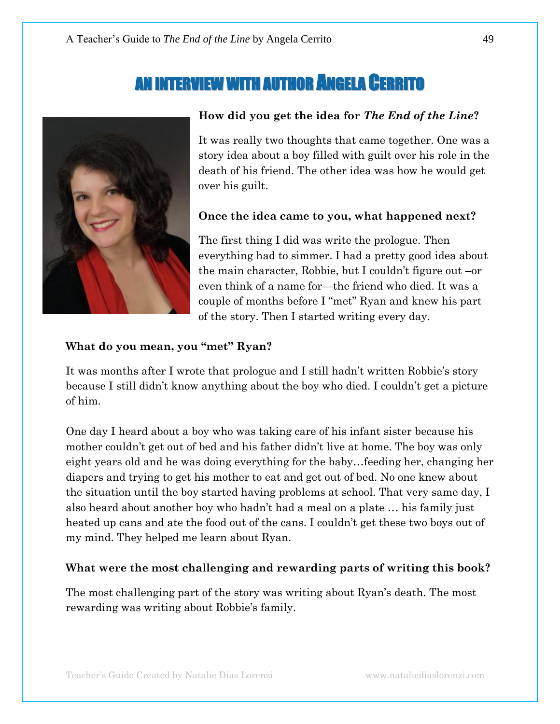# AN INTERVIEW WITH AUTHOR ANGELA CERRITO



#### **How did you get the idea for** *The End of the Line***?**

It was really two thoughts that came together. One was a story idea about a boy filled with guilt over his role in the death of his friend. The other idea was how he would get over his guilt.

#### **Once the idea came to you, what happened next?**

The first thing I did was write the prologue. Then everything had to simmer. I had a pretty good idea about the main character, Robbie, but I couldn't figure out –or even think of a name for—the friend who died. It was a couple of months before I "met" Ryan and knew his part of the story. Then I started writing every day.

#### **What do you mean, you "met" Ryan?**

It was months after I wrote that prologue and I still hadn't written Robbie's story because I still didn't know anything about the boy who died. I couldn't get a picture of him.

One day I heard about a boy who was taking care of his infant sister because his mother couldn't get out of bed and his father didn't live at home. The boy was only eight years old and he was doing everything for the baby…feeding her, changing her diapers and trying to get his mother to eat and get out of bed. No one knew about the situation until the boy started having problems at school. That very same day, I also heard about another boy who hadn't had a meal on a plate … his family just heated up cans and ate the food out of the cans. I couldn't get these two boys out of my mind. They helped me learn about Ryan.

#### **What were the most challenging and rewarding parts of writing this book?**

The most challenging part of the story was writing about Ryan's death. The most rewarding was writing about Robbie's family.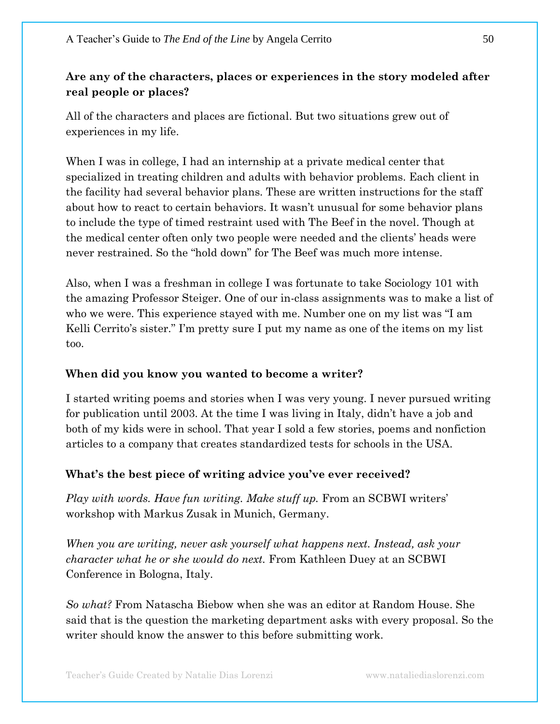## **Are any of the characters, places or experiences in the story modeled after real people or places?**

All of the characters and places are fictional. But two situations grew out of experiences in my life.

When I was in college, I had an internship at a private medical center that specialized in treating children and adults with behavior problems. Each client in the facility had several behavior plans. These are written instructions for the staff about how to react to certain behaviors. It wasn't unusual for some behavior plans to include the type of timed restraint used with The Beef in the novel. Though at the medical center often only two people were needed and the clients' heads were never restrained. So the "hold down" for The Beef was much more intense.

Also, when I was a freshman in college I was fortunate to take Sociology 101 with the amazing Professor Steiger. One of our in-class assignments was to make a list of who we were. This experience stayed with me. Number one on my list was "I am Kelli Cerrito's sister." I'm pretty sure I put my name as one of the items on my list too.

#### **When did you know you wanted to become a writer?**

I started writing poems and stories when I was very young. I never pursued writing for publication until 2003. At the time I was living in Italy, didn't have a job and both of my kids were in school. That year I sold a few stories, poems and nonfiction articles to a company that creates standardized tests for schools in the USA.

### **What's the best piece of writing advice you've ever received?**

*Play with words. Have fun writing. Make stuff up.* From an SCBWI writers' workshop with Markus Zusak in Munich, Germany.

*When you are writing, never ask yourself what happens next. Instead, ask your character what he or she would do next.* From Kathleen Duey at an SCBWI Conference in Bologna, Italy.

*So what?* From Natascha Biebow when she was an editor at Random House. She said that is the question the marketing department asks with every proposal. So the writer should know the answer to this before submitting work.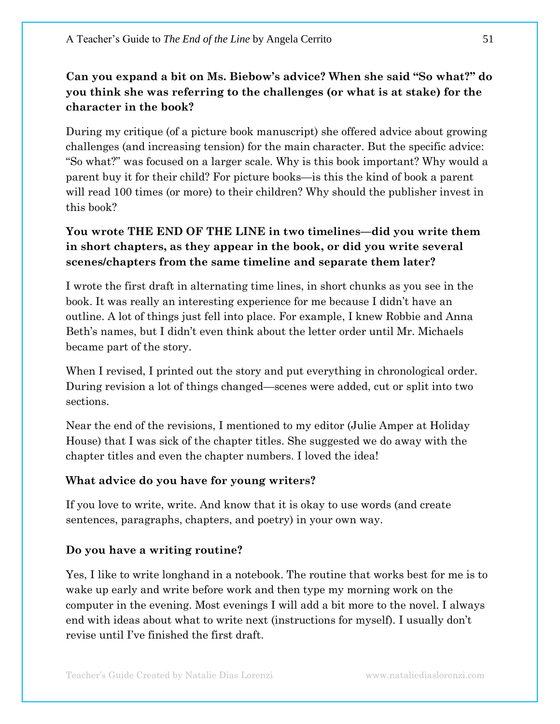## **Can you expand a bit on Ms. Biebow's advice? When she said "So what?" do you think she was referring to the challenges (or what is at stake) for the character in the book?**

During my critique (of a picture book manuscript) she offered advice about growing challenges (and increasing tension) for the main character. But the specific advice: ―So what?‖ was focused on a larger scale. Why is this book important? Why would a parent buy it for their child? For picture books—is this the kind of book a parent will read 100 times (or more) to their children? Why should the publisher invest in this book?

### **You wrote THE END OF THE LINE in two timelines—did you write them in short chapters, as they appear in the book, or did you write several scenes/chapters from the same timeline and separate them later?**

I wrote the first draft in alternating time lines, in short chunks as you see in the book. It was really an interesting experience for me because I didn't have an outline. A lot of things just fell into place. For example, I knew Robbie and Anna Beth's names, but I didn't even think about the letter order until Mr. Michaels became part of the story.

When I revised, I printed out the story and put everything in chronological order. During revision a lot of things changed—scenes were added, cut or split into two sections.

Near the end of the revisions, I mentioned to my editor (Julie Amper at Holiday House) that I was sick of the chapter titles. She suggested we do away with the chapter titles and even the chapter numbers. I loved the idea!

#### **What advice do you have for young writers?**

If you love to write, write. And know that it is okay to use words (and create sentences, paragraphs, chapters, and poetry) in your own way.

#### **Do you have a writing routine?**

Yes, I like to write longhand in a notebook. The routine that works best for me is to wake up early and write before work and then type my morning work on the computer in the evening. Most evenings I will add a bit more to the novel. I always end with ideas about what to write next (instructions for myself). I usually don't revise until I've finished the first draft.